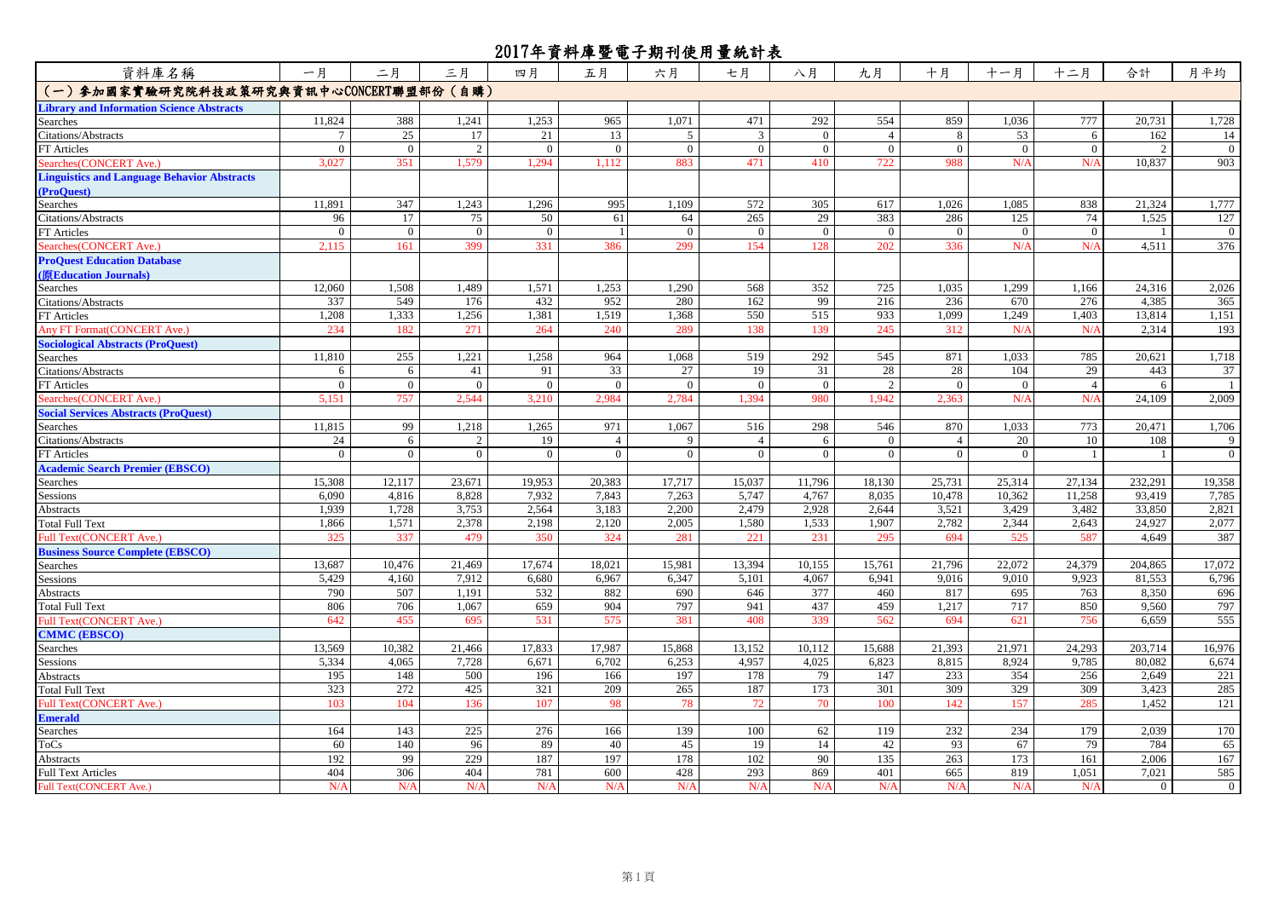| 資料庫名稱                                                       | 一月       | 二月             | 三月             | 四月       | 五月             | 六月           | 七月             | 八月             | 九月             | 十月             | 十一月            | 十二月            | 合計             | 月平均            |
|-------------------------------------------------------------|----------|----------------|----------------|----------|----------------|--------------|----------------|----------------|----------------|----------------|----------------|----------------|----------------|----------------|
| (一) 参加國家實驗研究院科技政策研究與資訊中心CONCERT聯盟部份 (自購)                    |          |                |                |          |                |              |                |                |                |                |                |                |                |                |
| <b>Library and Information Science Abstracts</b>            |          |                |                |          |                |              |                |                |                |                |                |                |                |                |
| Searches                                                    | 11,824   | 388            | 1,241          | 1,253    | 965            | 1.071        | 471            | 292            | 554            | 859            | 1.036          | 777            | 20,731         | 1,728          |
| <b>Citations/Abstracts</b>                                  |          | 25             | 17             | 21       | 13             | 5            | 3              | $\overline{0}$ | $\overline{4}$ | 8              | 53             | 6              | 162            | 14             |
| FT Articles                                                 | $\Omega$ | $\overline{0}$ | 2              | $\Omega$ | $\theta$       | $\mathbf{0}$ | $\mathbf{0}$   | $\theta$       | $\Omega$       | $\mathbf{0}$   | $\overline{0}$ | $\Omega$       |                | $\mathbf{0}$   |
| Searches(CONCERT Ave.)                                      | 3.027    | 351            | 1.579          | 1.294    | 1.112          | 883          | 471            | 410            | 722            | 988            | N/A            | N/A            | 10.837         | 903            |
| <b>Linguistics and Language Behavior Abstracts</b>          |          |                |                |          |                |              |                |                |                |                |                |                |                |                |
| (ProQuest)                                                  |          |                |                |          |                |              |                |                |                |                |                |                |                |                |
| Searches                                                    | 11,891   | 347            | 1,243          | 1,296    | 995            | 1.109        | 572            | 305            | 617            | 1,026          | 1.085          | 838            | 21,324         | 1,777          |
| <b>Citations/Abstracts</b>                                  | 96       | 17             | 75             | 50       | 61             | 64           | 265            | 29             | 383            | 286            | 125            | 74             | 1,525          | 127            |
| FT Articles                                                 | $\Omega$ | $\overline{0}$ | $\overline{0}$ | $\Omega$ |                | $\mathbf{0}$ | $\overline{0}$ | $\overline{0}$ | $\overline{0}$ | $\mathbf{0}$   | $\bf{0}$       | $\Omega$       |                | $\overline{0}$ |
| Searches(CONCERT Ave.)                                      | 2.115    | 161            | 399            | 331      | 386            | 299          | 154            | 128            | 202            | 336            | N/A            | N/4            | 4.511          | 376            |
| <b>ProQuest Education Database</b><br>(原Education Journals) |          |                |                |          |                |              |                |                |                |                |                |                |                |                |
| Searches                                                    | 12.060   | 1,508          | 1,489          | 1,571    | 1,253          | 1.290        | 568            | 352            | 725            | 1.035          | 1.299          | 1.166          | 24,316         | 2,026          |
| Citations/Abstracts                                         | 337      | 549            | 176            | 432      | 952            | 280          | 162            | 99             | 216            | 236            | 670            | 276            | 4,385          | 365            |
| FT Articles                                                 | 1,208    | 1,333          | 1,256          | 1,381    | 1,519          | 1,368        | 550            | 515            | 933            | 1,099          | 1,249          | 1,403          | 13,814         | 1,151          |
| Any FT Format (CONCERT Ave.)                                | 234      | 182            | 271            | 264      | 240            | 289          | 138            | 139            | 245            | 312            | N/A            | N/A            | 2.314          | 193            |
| <b>Sociological Abstracts (ProQuest)</b>                    |          |                |                |          |                |              |                |                |                |                |                |                |                |                |
| Searches                                                    | 11,810   | 255            | 1,221          | 1,258    | 964            | 1,068        | 519            | 292            | 545            | 871            | 1,033          | 785            | 20,621         | 1,718          |
| Citations/Abstracts                                         | 6        | 6              | 41             | 91       | 33             | 27           | 19             | 31             | 28             | 28             | 104            | 29             | 443            | 37             |
| FT Articles                                                 |          | $\overline{0}$ | $\overline{0}$ | $\theta$ | $\Omega$       | $\theta$     | $\overline{0}$ | $\overline{0}$ | 2              | $\overline{0}$ | $\overline{0}$ | $\overline{4}$ |                |                |
| Searches(CONCERT Ave.)                                      | 5,151    | 757            | 2,544          | 3,210    | 2,984          | 2,784        | 1,394          | 980            | 1,942          | 2,363          | N/A            | N/A            | 24,109         | 2,009          |
| <b>Social Services Abstracts (ProQuest)</b>                 |          |                |                |          |                |              |                |                |                |                |                |                |                |                |
| Searches                                                    | 11,815   | 99             | 1,218          | 1,265    | 971            | 1.067        | 516            | 298            | 546            | 870            | 1.033          | 773            | 20,471         | 1,706          |
| <b>Citations/Abstracts</b>                                  | 24       | 6              | 2              | 19       | $\overline{4}$ | 9            | $\overline{4}$ | 6              | $\overline{0}$ | $\overline{4}$ | 20             | 10             | 108            | 9              |
| FT Articles                                                 | $\Omega$ | $\theta$       | $\theta$       | $\Omega$ | $\Omega$       | $\theta$     | $\Omega$       | $\Omega$       | $\theta$       | $\theta$       | $\theta$       |                |                | $\mathbf{0}$   |
| <b>Academic Search Premier (EBSCO)</b>                      |          |                |                |          |                |              |                |                |                |                |                |                |                |                |
| Searches                                                    | 15,308   | 12,117         | 23,671         | 19,953   | 20,383         | 17,717       | 15,037         | 11,796         | 18,130         | 25,731         | 25,314         | 27,134         | 232,291        | 19,358         |
| Sessions                                                    | 6,090    | 4,816          | 8,828          | 7,932    | 7,843          | 7,263        | 5,747          | 4,767          | 8,035          | 10,478         | 10,362         | 11,258         | 93,419         | 7,785          |
| Abstracts                                                   | 1,939    | 1,728          | 3,753          | 2,564    | 3,183          | 2,200        | 2,479          | 2,928          | 2,644          | 3,521          | 3,429          | 3,482          | 33,850         | 2,821          |
| <b>Total Full Text</b>                                      | 1,866    | 1,571          | 2,378          | 2,198    | 2,120          | 2,005        | 1,580          | 1,533          | 1,907          | 2,782          | 2,344          | 2,643          | 24,927         | 2,077          |
| Full Text(CONCERT Ave.)                                     | 325      | 337            | 479            | 350      | 324            | 281          | 221            | 231            | 295            | 694            | 525            | 587            | 4,649          | 387            |
| <b>Business Source Complete (EBSCO)</b>                     |          |                |                |          |                |              |                |                |                |                |                |                |                |                |
| Searches                                                    | 13,687   | 10,476         | 21,469         | 17,674   | 18,021         | 15,981       | 13,394         | 10,155         | 15,761         | 21,796         | 22,072         | 24,379         | 204,865        | 17,072         |
| Sessions                                                    | 5,429    | 4,160          | 7,912          | 6,680    | 6,967          | 6,347        | 5,101          | 4,067          | 6,941          | 9,016          | 9,010          | 9,923          | 81,553         | 6,796          |
| <b>Abstracts</b>                                            | 790      | 507            | 1,191          | 532      | 882            | 690          | 646            | 377            | 460            | 817            | 695            | 763            | 8,350          | 696            |
| <b>Total Full Text</b>                                      | 806      | 706            | 1,067          | 659      | 904            | 797          | 941            | 437            | 459            | 1,217          | 717            | 850            | 9,560          | 797            |
| Full Text(CONCERT Ave.)                                     | 642      | 455            | 695            | 531      | 575            | 381          | 408            | 339            | 562            | 694            | 621            | 756            | 6.659          | 555            |
| <b>CMMC (EBSCO)</b>                                         |          |                |                |          |                |              |                |                |                |                |                |                |                |                |
| Searches                                                    | 13,569   | 10,382         | 21,466         | 17,833   | 17,987         | 15,868       | 13,152         | 10,112         | 15,688         | 21,393         | 21,971         | 24,293         | 203,714        | 16,976         |
| Sessions                                                    | 5,334    | 4,065          | 7,728          | 6,671    | 6,702          | 6,253        | 4,957          | 4,025          | 6,823          | 8,815          | 8,924          | 9,785          | 80,082         | 6,674          |
| Abstracts                                                   | 195      | 148            | 500            | 196      | 166            | 197          | 178            | 79             | 147            | 233            | 354            | 256            | 2,649          | 221            |
| <b>Total Full Text</b>                                      | 323      | 272            | 425            | 321      | 209            | 265          | 187            | 173            | 301            | 309            | 329            | 309            | 3,423          | 285            |
| Full Text(CONCERT Ave.)                                     | 103      | 104            | 136            | 107      | 98             | 78           | 72             | 70             | 100            | 142            | 157            | 285            | 1,452          | 121            |
| <b>Emerald</b>                                              |          |                |                |          |                |              |                |                |                |                |                |                |                |                |
| Searches                                                    | 164      | 143            | 225            | 276      | 166            | 139          | 100            | 62             | 119            | 232            | 234            | 179            | 2,039          | 170            |
| ToCs                                                        | 60       | 140            | 96             | 89       | 40             | 45           | 19             | 14             | 42             | 93             | 67             | 79             | 784            | 65             |
| Abstracts                                                   | 192      | 99             | 229            | 187      | 197            | 178          | 102            | 90             | 135            | 263            | 173            | 161            | 2.006          | 167            |
| <b>Full Text Articles</b>                                   | 404      | 306            | 404            | 781      | 600            | 428          | 293            | 869            | 401            | 665            | 819            | 1,051          | 7,021          | 585            |
| Full Text(CONCERT Ave.)                                     | N/A      | N/A            | N/A            | N/A      | N/A            | N/A          | N/A            | N/A            | N/A            | N/A            | N/A            | N/A            | $\overline{0}$ | $\overline{0}$ |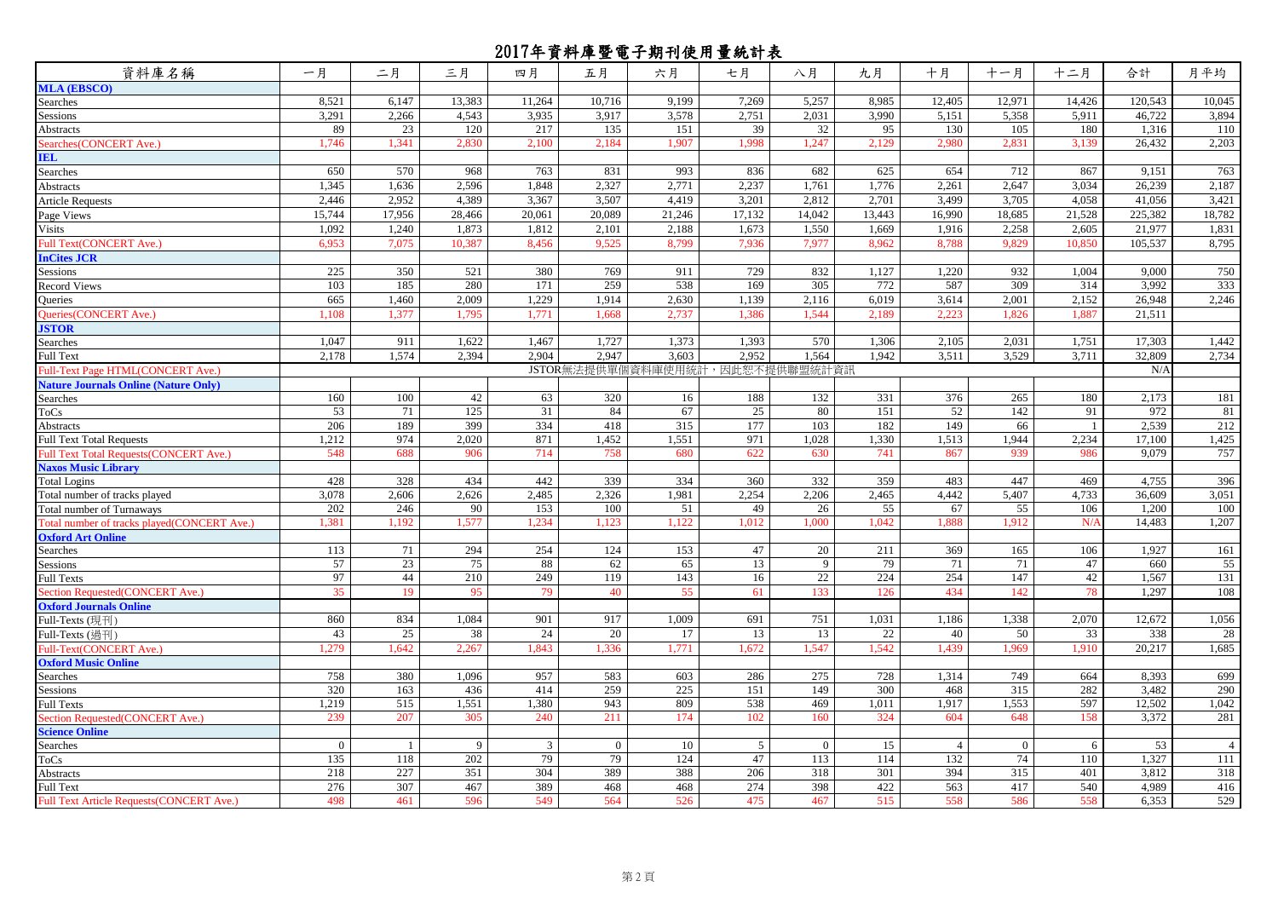| 資料庫名稱                                       | 一月             | 二月     | 三月     | 四月     | 五月           | 六月                              | 七月     | 八月       | 九月     | 十月             | 十一月            | 十二月            | 合計      | 月平均            |
|---------------------------------------------|----------------|--------|--------|--------|--------------|---------------------------------|--------|----------|--------|----------------|----------------|----------------|---------|----------------|
| <b>MLA (EBSCO)</b>                          |                |        |        |        |              |                                 |        |          |        |                |                |                |         |                |
| Searches                                    | 8,521          | 6,147  | 13,383 | 11,264 | 10,716       | 9,199                           | 7,269  | 5,257    | 8,985  | 12,405         | 12,971         | 14,426         | 120,543 | 10,045         |
| Sessions                                    | 3,291          | 2,266  | 4,543  | 3,935  | 3.917        | 3,578                           | 2,751  | 2,031    | 3,990  | 5,151          | 5,358          | 5,911          | 46,722  | 3,894          |
| Abstracts                                   | 89             | 23     | 120    | 217    | 135          | 151                             | 39     | 32       | 95     | 130            | 105            | 180            | 1,316   | 110            |
| Searches (CONCERT Ave.)                     | 1,746          | 1,341  | 2,830  | 2,100  | 2,184        | 1,907                           | 1,998  | .247     | 2,129  | 2,980          | 2,831          | 3,139          | 26.432  | 2,203          |
| <b>IEL</b>                                  |                |        |        |        |              |                                 |        |          |        |                |                |                |         |                |
| Searches                                    | 650            | 570    | 968    | 763    | 831          | 993                             | 836    | 682      | 625    | 654            | 712            | 867            | 9,151   | 763            |
| Abstracts                                   | 1,345          | 1,636  | 2,596  | 1,848  | 2,327        | 2,771                           | 2,237  | 1,761    | 1,776  | 2,261          | 2,647          | 3,034          | 26,239  | 2,187          |
| <b>Article Requests</b>                     | 2,446          | 2,952  | 4,389  | 3,367  | 3,507        | 4,419                           | 3,201  | 2,812    | 2,701  | 3,499          | 3,705          | 4,058          | 41,056  | 3,421          |
| Page Views                                  | 15,744         | 17,956 | 28,466 | 20,061 | 20,089       | 21,246                          | 17,132 | 14,042   | 13,443 | 16,990         | 18,685         | 21,528         | 225,382 | 18,782         |
| Visits                                      | 1,092          | 1,240  | 1,873  | 1,812  | 2,101        | 2,188                           | 1,673  | 1,550    | 1,669  | 1,916          | 2,258          | 2,605          | 21,977  | 1,831          |
| Full Text(CONCERT Ave.)                     | 6,953          | 7,075  | 10,387 | 8,456  | 9,525        | 8,799                           | 7,936  | 7,977    | 8,962  | 8,788          | 9,829          | 10,850         | 105,537 | 8,795          |
| <b>InCites JCR</b>                          |                |        |        |        |              |                                 |        |          |        |                |                |                |         |                |
| <b>Sessions</b>                             | 225            | 350    | 521    | 380    | 769          | 911                             | 729    | 832      | 1,127  | 1,220          | 932            | 1.004          | 9,000   | 750            |
| <b>Record Views</b>                         | 103            | 185    | 280    | 171    | 259          | 538                             | 169    | 305      | 772    | 587            | 309            | 314            | 3,992   | 333            |
| <b>Oueries</b>                              | 665            | 1,460  | 2,009  | 1,229  | 1,914        | 2,630                           | 1,139  | 2,116    | 6,019  | 3,614          | 2,001          | 2,152          | 26,948  | 2,246          |
| Queries(CONCERT Ave.)                       | 1,108          | 1,377  | 1,795  | 1.771  | 1.668        | 2,737                           | 1,386  | 1,544    | 2,189  | 2,223          | 1,826          | 1.887          | 21,511  |                |
| <b>ISTOR</b>                                |                |        |        |        |              |                                 |        |          |        |                |                |                |         |                |
| Searches                                    | 1,047          | 911    | 1,622  | 1,467  | 1,727        | 1,373                           | 1,393  | 570      | 1,306  | 2,105          | 2,031          | 1,751          | 17,303  | 1,442          |
| Full Text                                   | 2,178          | 1,574  | 2,394  | 2,904  | 2,947        | 3,603                           | 2,952  | 1,564    | 1,942  | 3,511          | 3,529          | 3,711          | 32,809  | 2,734          |
| Full-Text Page HTML(CONCERT Ave.)           |                |        |        |        |              | JSTOR無法提供單個資料庫使用統計,因此恕不提供聯盟統計資訊 |        |          |        |                |                |                | N/A     |                |
| <b>Nature Journals Online (Nature Only)</b> |                |        |        |        |              |                                 |        |          |        |                |                |                |         |                |
| Searches                                    | 160            | 100    | 42     | 63     | 320          | 16                              | 188    | 132      | 331    | 376            | 265            | 180            | 2,173   | 181            |
| $\Gamma$ o $\mathrm{Cs}$                    | 53             | 71     | 125    | 31     | 84           | 67                              | 25     | 80       | 151    | 52             | 142            | 91             | 972     | 81             |
| Abstracts                                   | 206            | 189    | 399    | 334    | 418          | 315                             | 177    | 103      | 182    | 149            | 66             | $\overline{1}$ | 2.539   | 212            |
| <b>Full Text Total Requests</b>             | 1,212          | 974    | 2,020  | 871    | 1,452        | 1,551                           | 971    | 1,028    | 1,330  | 1,513          | 1,944          | 2,234          | 17,100  | 1,425          |
| Full Text Total Requests(CONCERT Ave.)      | 548            | 688    | 906    | 714    | 758          | 680                             | 622    | 630      | 741    | 867            | 939            | 986            | 9,079   | 757            |
| <b>Naxos Music Library</b>                  |                |        |        |        |              |                                 |        |          |        |                |                |                |         |                |
| <b>Total Logins</b>                         | 428            | 328    | 434    | 442    | 339          | 334                             | 360    | 332      | 359    | 483            | 447            | 469            | 4,755   | 396            |
| Total number of tracks played               | 3,078          | 2,606  | 2,626  | 2,485  | 2,326        | 1,981                           | 2,254  | 2,206    | 2,465  | 4,442          | 5,407          | 4,733          | 36,609  | 3,051          |
| <b>Cotal number of Turnaways</b>            | 202            | 246    | 90     | 153    | 100          | 51                              | 49     | 26       | 55     | 67             | 55             | 106            | 1,200   | 100            |
| Total number of tracks played(CONCERT Ave.) | 1,381          | 1.192  | .577   | 1,234  | 1,123        | 1,122                           | 1,012  | .000     | 1,042  | .888           | 1,912          | $N/\ell$       | 14,483  | 1,207          |
| <b>Oxford Art Online</b>                    |                |        |        |        |              |                                 |        |          |        |                |                |                |         |                |
| Searches                                    | 113            | 71     | 294    | 254    | 124          | 153                             | 47     | 20       | 211    | 369            | 165            | 106            | 1,927   | 161            |
| Sessions                                    | 57             | 23     | 75     | 88     | 62           | 65                              | 13     | 9        | 79     | 71             | 71             | 47             | 660     | 55             |
| Full Texts                                  | 97             | 44     | 210    | 249    | 119          | 143                             | 16     | 22       | 224    | 254            | 147            | 42             | 1,567   | 131            |
| ection Requested(CONCERT Ave.)              | 35             | 19     | 95     | 79     | 40           | 55                              | 61     | 133      | 126    | 434            | 142            | 78             | 1,297   | 108            |
| <b>Oxford Journals Online</b>               |                |        |        |        |              |                                 |        |          |        |                |                |                |         |                |
| Full-Texts (現刊)                             | 860            | 834    | 1,084  | 901    | 917          | 1,009                           | 691    | 751      | 1,031  | 1,186          | 1,338          | 2,070          | 12,672  | 1,056          |
| Full-Texts (過刊)                             | 43             | 25     | 38     | 24     | 20           | 17                              | 13     | 13       | 22     | 40             | 50             | 33             | 338     | 28             |
| Full-Text(CONCERT Ave.)                     | 1,279          | 1,642  | 2,267  | 1.843  | 1,336        | 1,771                           | 1,672  | 1,547    | 1,542  | 1.439          | 1,969          | 1.910          | 20,217  | 1,685          |
| <b>Oxford Music Online</b>                  |                |        |        |        |              |                                 |        |          |        |                |                |                |         |                |
| Searches                                    | 758            | 380    | 1,096  | 957    | 583          | 603                             | 286    | 275      | 728    | 1,314          | 749            | 664            | 8,393   | 699            |
| Sessions                                    | 320            | 163    | 436    | 414    | 259          | 225                             | 151    | 149      | 300    | 468            | 315            | 282            | 3,482   | 290            |
| <b>Full Texts</b>                           | 1,219          | 515    | 1,551  | 1,380  | 943          | 809                             | 538    | 469      | 1,011  | 1,917          | 1,553          | 597            | 12,502  | 1,042          |
| Section Requested(CONCERT Ave.)             | 239            | 207    | 305    | 240    | 211          | 174                             | 102    | 160      | 324    | 604            | 648            | 158            | 3,372   | 281            |
| <b>Science Online</b>                       |                |        |        |        |              |                                 |        |          |        |                |                |                |         |                |
| Searches                                    | $\overline{0}$ |        | 9      | 3      | $\mathbf{0}$ | 10                              | 5      | $\Omega$ | 15     | $\overline{4}$ | $\overline{0}$ | 6              | 53      | $\overline{4}$ |
| $\Gamma$ o $\mathrm{Cs}$                    | 135            | 118    | 202    | 79     | 79           | 124                             | 47     | 113      | 114    | 132            | 74             | 110            | 1,327   | 111            |
| Abstracts                                   | 218            | 227    | 351    | 304    | 389          | 388                             | 206    | 318      | 301    | 394            | 315            | 401            | 3,812   | 318            |
| Full Text                                   | 276            | 307    | 467    | 389    | 468          | 468                             | 274    | 398      | 422    | 563            | 417            | 540            | 4,989   | 416            |
| Full Text Article Requests(CONCERT Ave.)    | 498            | 461    | 596    | 549    | 564          | 526                             | 475    | 467      | 515    | 558            | 586            | 558            | 6,353   | 529            |
|                                             |                |        |        |        |              |                                 |        |          |        |                |                |                |         |                |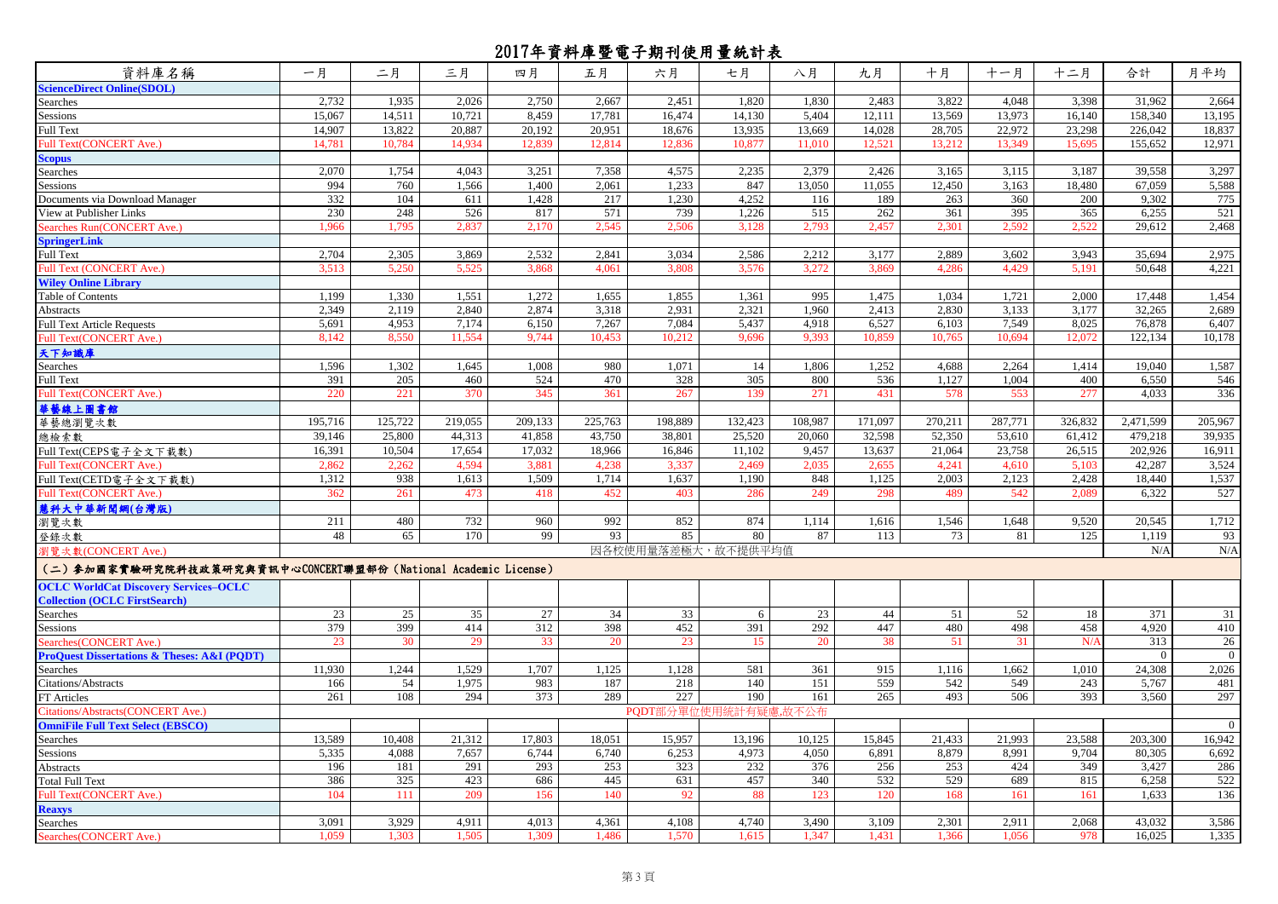| 資料庫名稱                                                           | 一月      | 二月      | 三月      | 四月      | 五月      | 六月          | 七月                 | 八月      | 九月      | 十月      | 十一月     | 十二月     | 合計        | 月平均            |
|-----------------------------------------------------------------|---------|---------|---------|---------|---------|-------------|--------------------|---------|---------|---------|---------|---------|-----------|----------------|
| <b>ScienceDirect Online(SDOL)</b>                               |         |         |         |         |         |             |                    |         |         |         |         |         |           |                |
| Searches                                                        | 2,732   | 1,935   | 2,026   | 2,750   | 2,667   | 2,451       | 1,820              | 1,830   | 2,483   | 3,822   | 4,048   | 3,398   | 31,962    | 2,664          |
| Sessions                                                        | 15.067  | 14,511  | 10.721  | 8.459   | 17.781  | 16.474      | 14,130             | 5.404   | 12,111  | 13,569  | 13.973  | 16.140  | 158,340   | 13,195         |
| Full Text                                                       | 14,907  | 13,822  | 20,887  | 20,192  | 20,951  | 18,676      | 13,935             | 13,669  | 14,028  | 28,705  | 22,972  | 23,298  | 226,042   | 18,837         |
| Full Text(CONCERT Ave.)                                         | 14,781  | 10,784  | 14,934  | 12,839  | 12,814  | 12,836      | 10,877             | 11,010  | 12,521  | 13,212  | 13,349  | 15,695  | 155,652   | 12,971         |
| <b>Scopus</b>                                                   |         |         |         |         |         |             |                    |         |         |         |         |         |           |                |
| Searches                                                        | 2,070   | 1,754   | 4,043   | 3,251   | 7,358   | 4,575       | 2,235              | 2,379   | 2,426   | 3,165   | 3,115   | 3,187   | 39,558    | 3,297          |
| <b>Sessions</b>                                                 | 994     | 760     | 1,566   | 1,400   | 2,061   | 1,233       | 847                | 13,050  | 11,055  | 12.450  | 3,163   | 18,480  | 67,059    | 5,588          |
| Oocuments via Download Manager                                  | 332     | 104     | 611     | 1,428   | 217     | 1,230       | 4,252              | 116     | 189     | 263     | 360     | 200     | 9,302     | 775            |
| View at Publisher Links                                         | 230     | 248     | 526     | 817     | 571     | 739         | 1,226              | 515     | 262     | 361     | 395     | 365     | 6,255     | 521            |
| Searches Run(CONCERT Ave.)                                      | 1,966   | 1,795   | 2,837   | 2,170   | 2,545   | 2,506       | 3,128              | 2,793   | 2,457   | 2,301   | 2,592   | 2,522   | 29,612    | 2,468          |
| <b>SpringerLink</b>                                             |         |         |         |         |         |             |                    |         |         |         |         |         |           |                |
| Full Text                                                       | 2,704   | 2,305   | 3,869   | 2,532   | 2,841   | 3,034       | 2,586              | 2,212   | 3,177   | 2,889   | 3,602   | 3,943   | 35,694    | 2,975          |
| Full Text (CONCERT Ave.)                                        | 3,513   | 5,250   | 5,525   | 3,868   | 4.061   | 3.808       | 3,576              | 3,272   | 3,869   | 4,286   | 4,429   | 5,191   | 50,648    | 4,221          |
| <b>Wiley Online Library</b>                                     |         |         |         |         |         |             |                    |         |         |         |         |         |           |                |
| Table of Contents                                               | 1,199   | 1,330   | 1,551   | 1,272   | 1,655   | 1,855       | 1,361              | 995     | 1,475   | 1,034   | 1,721   | 2,000   | 17,448    | 1,454          |
| Abstracts                                                       | 2,349   | 2,119   | 2,840   | 2,874   | 3,318   | 2,931       | 2,321              | 1,960   | 2,413   | 2,830   | 3,133   | 3,177   | 32,265    | 2,689          |
| <b>Full Text Article Requests</b>                               | 5,691   | 4,953   | 7,174   | 6,150   | 7,267   | 7,084       | 5,437              | 4,918   | 6,527   | 6,103   | 7,549   | 8.025   | 76,878    | 6,407          |
| Full Text(CONCERT Ave.)                                         | 8,142   | 8.550   | 11.554  | 9.744   | 10.453  | 10.212      | 9,696              | 9.393   | 10.859  | 10.765  | 10.694  | 12,072  | 122,134   | 10,178         |
| 天下知識庫                                                           |         |         |         |         |         |             |                    |         |         |         |         |         |           |                |
| Searches                                                        | 1,596   | 1,302   | 1,645   | 1,008   | 980     | 1,071       | 14                 | 1,806   | 1,252   | 4,688   | 2,264   | 1,414   | 19,040    | 1,587          |
| Full Text                                                       | 391     | 205     | 460     | 524     | 470     | 328         | 305                | 800     | 536     | 1,127   | 1,004   | 400     | 6,550     | 546            |
| full Text(CONCERT Ave.)                                         | 220     | 221     | 370     | 345     | 361     | 267         | 139                | 271     | 431     | 578     | 553     | 277     | 4,033     | 336            |
| 華藝線上圖書館                                                         |         |         |         |         |         |             |                    |         |         |         |         |         |           |                |
| 華藝總瀏覽次數                                                         | 195,716 | 125,722 | 219,055 | 209,133 | 225,763 | 198,889     | 132,423            | 108,987 | 171,097 | 270,211 | 287,771 | 326,832 | 2,471,599 | 205,967        |
| 總檢索數                                                            | 39,146  | 25,800  | 44,313  | 41,858  | 43,750  | 38,801      | 25,520             | 20,060  | 32,598  | 52,350  | 53,610  | 61,412  | 479,218   | 39,935         |
| Full Text(CEPS電子全文下載數)                                          | 16,391  | 10,504  | 17,654  | 17,032  | 18,966  | 16,846      | 11,102             | 9,457   | 13,637  | 21,064  | 23,758  | 26,515  | 202,926   | 16,911         |
| Full Text(CONCERT Ave.)                                         | 2,862   | 2,262   | 4,594   | 3,881   | 4,238   | 3,337       | 2,469              | 2,035   | 2,655   | 4,241   | 4,610   | 5,103   | 42,287    | 3,524          |
| Full Text(CETD電子全文下載數)                                          | 1,312   | 938     | 1.613   | 1.509   | 1,714   | 1.637       | 1,190              | 848     | 1.125   | 2.003   | 2.123   | 2.428   | 18.440    | 1,537          |
| Full Text(CONCERT Ave.)                                         | 362     | 261     | 473     | 418     | 452     | 403         | 286                | 249     | 298     | 489     | 542     | 2,089   | 6,322     | 527            |
| 慧科大中華新聞網(台灣版)                                                   |         |         |         |         |         |             |                    |         |         |         |         |         |           |                |
| 瀏覽次數                                                            | 211     | 480     | 732     | 960     | 992     | 852         | 874                | 1,114   | 1,616   | 1,546   | 1,648   | 9,520   | 20,545    | 1,712          |
| 登錄次數                                                            | 48      | 65      | 170     | 99      | 93      | 85          | 80                 | 87      | 113     | 73      | 81      | 125     | 1,119     | 93             |
| 劉覽次數(CONCERT Ave.)                                              |         |         |         |         |         |             | 因各校使用量落差極大,故不提供平均值 |         |         |         |         |         | N/A       | N/A            |
|                                                                 |         |         |         |         |         |             |                    |         |         |         |         |         |           |                |
| (二) 参加國家實驗研究院科技政策研究與資訊中心CONCERT聯盟部份 (National Academic License) |         |         |         |         |         |             |                    |         |         |         |         |         |           |                |
| <b>OCLC WorldCat Discovery Services-OCLC</b>                    |         |         |         |         |         |             |                    |         |         |         |         |         |           |                |
| <b>Collection (OCLC FirstSearch)</b>                            |         |         |         |         |         |             |                    |         |         |         |         |         |           |                |
| Searches                                                        | 23      | 25      | 35      | 27      | 34      | 33          | 6                  | 23      | 44      | 51      | 52      | 18      | 371       | 31             |
| Sessions                                                        | 379     | 399     | 414     | 312     | 398     | 452         | 391                | 292     | 447     | 480     | 498     | 458     | 4,920     | 410            |
| Searches(CONCERT Ave.)                                          | 23      | 30      | 29      | 33      | 20      | 23          | 15                 | 20      | 38      | 51      | 31      | N/4     | 313       | 26             |
| <b>ProQuest Dissertations &amp; Theses: A&amp;I (PODT)</b>      |         |         |         |         |         |             |                    |         |         |         |         |         | $\Omega$  | $\mathbf{0}$   |
| <b>Searches</b>                                                 | 11,930  | 1,244   | 1,529   | 1,707   | 1,125   | 1,128       | 581                | 361     | 915     | 1,116   | 1,662   | 1,010   | 24,308    | 2,026          |
| Citations/Abstracts                                             | 166     | 54      | 1,975   | 983     | 187     | 218         | 140                | 151     | 559     | 542     | 549     | 243     | 5,767     | 481            |
| FT Articles                                                     | 261     | 108     | 294     | 373     | 289     | 227         | 190                | 161     | 265     | 493     | 506     | 393     | 3,560     | 297            |
| Citations/Abstracts(CONCERT Ave.)                               |         |         |         |         |         | PQDT部分單位使用統 | 十有疑慮,故             | 公布      |         |         |         |         |           |                |
| <b>OmniFile Full Text Select (EBSCO)</b>                        |         |         |         |         |         |             |                    |         |         |         |         |         |           | $\overline{0}$ |
| Searches                                                        | 13,589  | 10,408  | 21,312  | 17,803  | 18,051  | 15,957      | 13,196             | 10,125  | 15,845  | 21,433  | 21,993  | 23,588  | 203,300   | 16,942         |
| Sessions                                                        | 5,335   | 4,088   | 7,657   | 6,744   | 6,740   | 6,253       | 4,973              | 4,050   | 6,891   | 8,879   | 8,991   | 9,704   | 80,305    | 6,692          |
| Abstracts                                                       | 196     | 181     | 291     | 293     | 253     | 323         | 232                | 376     | 256     | 253     | 424     | 349     | 3,427     | 286            |
| <b>Total Full Text</b>                                          | 386     | 325     | 423     | 686     | 445     | 631         | 457                | 340     | 532     | 529     | 689     | 815     | 6,258     | 522            |
| Full Text(CONCERT Ave.)                                         | 104     | 111     | 209     | 156     | 140     | 92          | 88                 | 123     | 120     | 168     | 161     | 161     | 1,633     | 136            |
| <b>Reaxys</b>                                                   |         |         |         |         |         |             |                    |         |         |         |         |         |           |                |
| Searches                                                        | 3,091   | 3,929   | 4,911   | 4,013   | 4,361   | 4,108       | 4,740              | 3,490   | 3,109   | 2,301   | 2,911   | 2,068   | 43,032    | 3,586          |
| Searches(CONCERT Ave.)                                          | 1,059   | 1,303   | 1,505   | 1,309   | 1,486   | 1,570       | 1,615              | 1,347   | 1,431   | 1,366   | 1,056   | 978     | 16,025    | 1,335          |
|                                                                 |         |         |         |         |         |             |                    |         |         |         |         |         |           |                |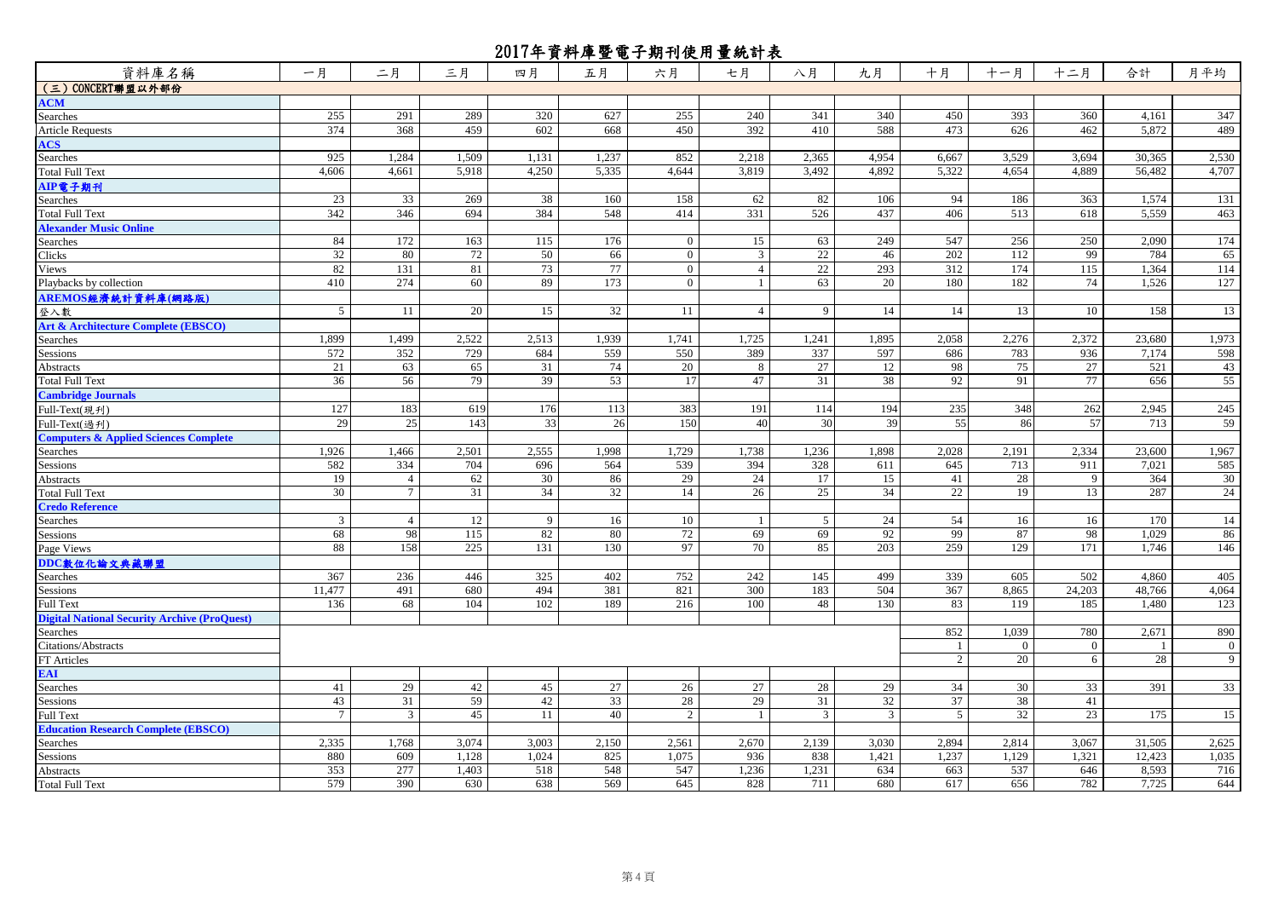| 資料庫名稱                                               | 一月              | 二月              | 三月    | 四月    | 五月    | 六月           | 七月             | 八月             | 九月    | 十月    | 十一月          | 十二月          | 合計     | 月平均            |
|-----------------------------------------------------|-----------------|-----------------|-------|-------|-------|--------------|----------------|----------------|-------|-------|--------------|--------------|--------|----------------|
| (三) CONCERT聯盟以外部份                                   |                 |                 |       |       |       |              |                |                |       |       |              |              |        |                |
| <b>ACM</b>                                          |                 |                 |       |       |       |              |                |                |       |       |              |              |        |                |
| Searches                                            | 255             | 291             | 289   | 320   | 627   | 255          | 240            | 341            | 340   | 450   | 393          | 360          | 4,161  | 347            |
| <b>Article Requests</b>                             | 374             | 368             | 459   | 602   | 668   | 450          | 392            | 410            | 588   | 473   | 626          | 462          | 5,872  | 489            |
| <b>ACS</b>                                          |                 |                 |       |       |       |              |                |                |       |       |              |              |        |                |
| Searches                                            | 925             | 1,284           | 1,509 | 1,131 | 1,237 | 852          | 2,218          | 2,365          | 4,954 | 6,667 | 3,529        | 3.694        | 30.365 | 2,530          |
| <b>Total Full Text</b>                              | 4,606           | 4,661           | 5,918 | 4,250 | 5,335 | 4,644        | 3,819          | 3,492          | 4,892 | 5,322 | 4,654        | 4,889        | 56,482 | 4,707          |
| AIP電子期刊                                             |                 |                 |       |       |       |              |                |                |       |       |              |              |        |                |
| Searches                                            | 23              | 33              | 269   | 38    | 160   | 158          | 62             | 82             | 106   | 94    | 186          | 363          | 1,574  | 131            |
| <b>Total Full Text</b>                              | 342             | 346             | 694   | 384   | 548   | 414          | 331            | 526            | 437   | 406   | 513          | 618          | 5,559  | 463            |
| <b>Alexander Music Online</b>                       |                 |                 |       |       |       |              |                |                |       |       |              |              |        |                |
| Searches                                            | 84              | 172             | 163   | 115   | 176   | $\mathbf{0}$ | 15             | 63             | 249   | 547   | 256          | 250          | 2,090  | 174            |
| Clicks                                              | 32              | 80              | 72    | 50    | 66    | $\mathbf{0}$ | $\mathfrak{Z}$ | 22             | 46    | 202   | 112          | 99           | 784    | 65             |
| Views                                               | 82              | 131             | 81    | 73    | 77    | $\mathbf{0}$ | $\overline{4}$ | 22             | 293   | 312   | 174          | 115          | 1,364  | 114            |
| Playbacks by collection                             | 410             | 274             | 60    | 89    | 173   | $\mathbf{0}$ | $\mathbf{1}$   | 63             | 20    | 180   | 182          | 74           | 1,526  | 127            |
| AREMOS經濟統計資料庫(網路版)                                  |                 |                 |       |       |       |              |                |                |       |       |              |              |        |                |
| 登入數                                                 | 5               | 11              | 20    | 15    | 32    | 11           | $\overline{4}$ | 9              | 14    | 14    | 13           | 10           | 158    | 13             |
|                                                     |                 |                 |       |       |       |              |                |                |       |       |              |              |        |                |
| <b>Art &amp; Architecture Complete (EBSCO)</b>      | 1,899           | 1,499           | 2,522 | 2,513 | 1,939 | 1,741        | 1,725          |                | 1,895 |       | 2,276        | 2,372        | 23,680 | 1,973          |
| <b>Searches</b>                                     | 572             | 352             | 729   |       | 559   |              |                | 1,241<br>337   | 597   | 2,058 | 783          | 936          |        | 598            |
| Sessions                                            |                 |                 |       | 684   |       | 550          | 389            |                |       | 686   |              |              | 7,174  |                |
| Abstracts                                           | 21              | 63              | 65    | 31    | 74    | 20           | 8              | 27             | 12    | 98    | 75           | 27           | 521    | 43             |
| <b>Total Full Text</b>                              | 36              | 56              | 79    | 39    | 53    | 17           | 47             | 31             | 38    | 92    | 91           | 77           | 656    | 55             |
| <b>Cambridge Journals</b>                           |                 |                 |       |       |       |              |                |                |       |       |              |              |        |                |
| Full-Text(現刊)                                       | 127             | 183             | 619   | 176   | 113   | 383          | 191            | 114            | 194   | 235   | 348          | 262          | 2,945  | 245            |
| Full-Text(過刋)                                       | 29              | 25              | 143   | 33    | 26    | 150          | 40             | 30             | 39    | 55    | 86           | 57           | 713    | 59             |
| <b>Computers &amp; Applied Sciences Complete</b>    |                 |                 |       |       |       |              |                |                |       |       |              |              |        |                |
| Searches                                            | 1,926           | 1,466           | 2,501 | 2,555 | 1,998 | 1,729        | 1,738          | 1,236          | 1,898 | 2,028 | 2,191        | 2,334        | 23,600 | 1,967          |
| Sessions                                            | 582             | 334             | 704   | 696   | 564   | 539          | 394            | 328            | 611   | 645   | 713          | 911          | 7,021  | 585            |
| Abstracts                                           | 19              | $\overline{4}$  | 62    | 30    | 86    | 29           | 24             | 17             | 15    | 41    | 28           | 9            | 364    | 30             |
| <b>Total Full Text</b>                              | 30              | $\tau$          | 31    | 34    | 32    | 14           | 26             | 25             | 34    | 22    | 19           | 13           | 287    | 24             |
| <b>Credo Reference</b>                              |                 |                 |       |       |       |              |                |                |       |       |              |              |        |                |
| Searches                                            | 3               | $\overline{4}$  | 12    | 9     | 16    | 10           | -1             | 5              | 24    | 54    | 16           | 16           | 170    | 14             |
| <b>Sessions</b>                                     | 68              | 98              | 115   | 82    | 80    | 72           | 69             | 69             | 92    | 99    | 87           | 98           | 1,029  | 86             |
| Page Views                                          | 88              | 158             | 225   | 131   | 130   | 97           | 70             | 85             | 203   | 259   | 129          | 171          | 1,746  | 146            |
| DDC數位化論文典藏聯盟                                        |                 |                 |       |       |       |              |                |                |       |       |              |              |        |                |
| Searches                                            | 367             | 236             | 446   | 325   | 402   | 752          | 242            | 145            | 499   | 339   | 605          | 502          | 4.860  | 405            |
| Sessions                                            | 11,477          | 491             | 680   | 494   | 381   | 821          | 300            | 183            | 504   | 367   | 8,865        | 24,203       | 48,766 | 4,064          |
| <b>Full Text</b>                                    | 136             | 68              | 104   | 102   | 189   | 216          | 100            | 48             | 130   | 83    | 119          | 185          | 1,480  | 123            |
| <b>Digital National Security Archive (ProQuest)</b> |                 |                 |       |       |       |              |                |                |       |       |              |              |        |                |
| Searches                                            |                 |                 |       |       |       |              |                |                |       | 852   | 1,039        | 780          | 2,671  | 890            |
| Citations/Abstracts                                 |                 |                 |       |       |       |              |                |                |       | -1    | $\mathbf{0}$ | $\mathbf{0}$ |        | $\overline{0}$ |
| FT Articles                                         |                 |                 |       |       |       |              |                |                |       | 2     | 20           | 6            | 28     | 9              |
| <b>EAI</b>                                          |                 |                 |       |       |       |              |                |                |       |       |              |              |        |                |
| Searches                                            | 41              | $\overline{29}$ | 42    | 45    | 27    | 26           | 27             | 28             | 29    | 34    | 30           | 33           | 391    | 33             |
| Sessions                                            | 43              | 31              | 59    | 42    | 33    | 28           | 29             | 31             | 32    | 37    | 38           | 41           |        |                |
| <b>Full Text</b>                                    | $7\phantom{.0}$ | $\overline{3}$  | 45    | 11    | 40    | 2            | $\mathbf{1}$   | $\mathfrak{Z}$ | 3     | 5     | 32           | 23           | 175    | 15             |
| <b>Education Research Complete (EBSCO)</b>          |                 |                 |       |       |       |              |                |                |       |       |              |              |        |                |
| Searches                                            | 2,335           | 1,768           | 3,074 | 3,003 | 2,150 | 2,561        | 2,670          | 2,139          | 3,030 | 2,894 | 2,814        | 3,067        | 31,505 | 2,625          |
| Sessions                                            | 880             | 609             | 1,128 | 1,024 | 825   | 1,075        | 936            | 838            | 1,421 | 1,237 | 1,129        | 1,321        | 12,423 | 1,035          |
| Abstracts                                           | 353             | 277             | 1,403 | 518   | 548   | 547          | 1,236          | 1,231          | 634   | 663   | 537          | 646          | 8,593  | 716            |
| <b>Total Full Text</b>                              | 579             | 390             | 630   | 638   | 569   | 645          | 828            | 711            | 680   | 617   | 656          | 782          | 7,725  | 644            |
|                                                     |                 |                 |       |       |       |              |                |                |       |       |              |              |        |                |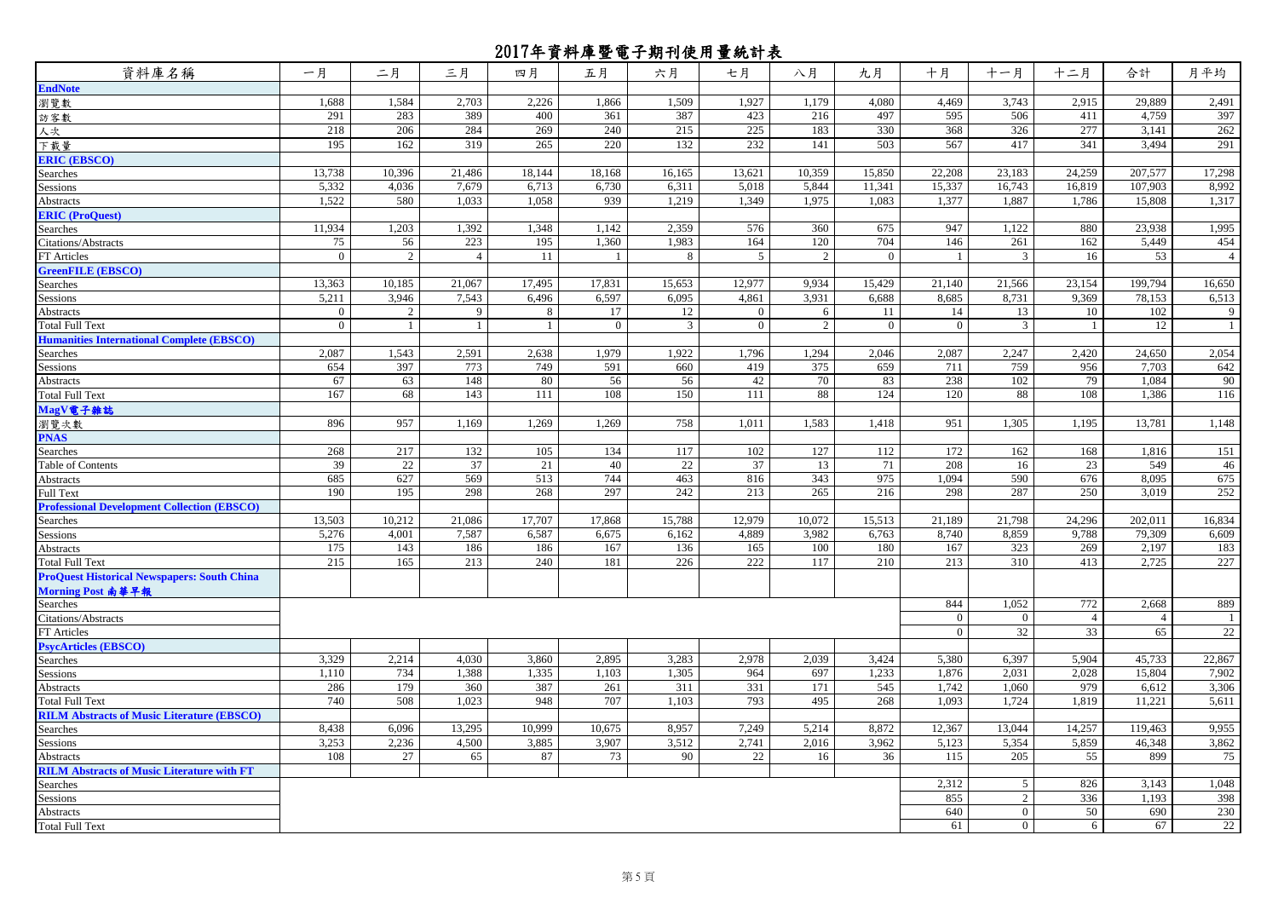| 資料庫名稱                                              | 一月             | 二月             | 三月             | 四月           | 五月             | 六月             | 七月           | 八月             | 九月             | 十月             | 十一月            | 十二月            | 合計              | 月平均            |
|----------------------------------------------------|----------------|----------------|----------------|--------------|----------------|----------------|--------------|----------------|----------------|----------------|----------------|----------------|-----------------|----------------|
| <b>EndNote</b>                                     |                |                |                |              |                |                |              |                |                |                |                |                |                 |                |
| 瀏覽數                                                | 1,688          | 1,584          | 2,703          | 2,226        | 1,866          | 1,509          | 1,927        | 1,179          | 4,080          | 4,469          | 3,743          | 2,915          | 29,889          | 2,491          |
| 訪客數                                                | 291            | 283            | 389            | 400          | 361            | 387            | 423          | 216            | 497            | 595            | 506            | 411            | 4,759           | 397            |
| 人次                                                 | 218            | 206            | 284            | 269          | 240            | 215            | 225          | 183            | 330            | 368            | 326            | 277            | 3,141           | 262            |
| 下載量                                                | 195            | 162            | 319            | 265          | 220            | 132            | 232          | 141            | 503            | 567            | 417            | 341            | 3,494           | 291            |
| <b>ERIC (EBSCO)</b>                                |                |                |                |              |                |                |              |                |                |                |                |                |                 |                |
| Searches                                           | 13,738         | 10,396         | 21,486         | 18,144       | 18,168         | 16,165         | 13,621       | 10,359         | 15,850         | 22,208         | 23,183         | 24,259         | 207,577         | 17,298         |
| Sessions                                           | 5,332          | 4,036          | 7,679          | 6,713        | 6,730          | 6,311          | 5,018        | 5,844          | 11,341         | 15,337         | 16,743         | 16,819         | 107,903         | 8,992          |
| Abstracts                                          | 1,522          | 580            | 1,033          | 1,058        | 939            | 1,219          | 1,349        | 1,975          | 1,083          | 1,377          | 1,887          | 1,786          | 15,808          | 1,317          |
| <b>ERIC</b> (ProQuest)                             |                |                |                |              |                |                |              |                |                |                |                |                |                 |                |
| Searches                                           | 11,934         | 1,203          | 1,392          | 1,348        | 1,142          | 2,359          | 576          | 360            | 675            | 947            | 1,122          | 880            | 23,938          | 1,995          |
| Citations/Abstracts                                | 75             | 56             | 223            | 195          | 1,360          | 1,983          | 164          | 120            | 704            | 146            | 261            | 162            | 5,449           | 454            |
| FT Articles                                        | $\overline{0}$ | 2              | $\overline{4}$ | 11           |                | 8              | 5            | 2              | $\overline{0}$ | -1             | 3              | 16             | 53              | $\overline{4}$ |
| <b>GreenFILE (EBSCO)</b>                           |                |                |                |              |                |                |              |                |                |                |                |                |                 |                |
| Searches                                           | 13,363         | 10,185         | 21,067         | 17,495       | 17,831         | 15,653         | 12,977       | 9,934          | 15,429         | 21,140         | 21,566         | 23,154         | 199,794         | 16,650         |
| Sessions                                           | 5,211          | 3,946          | 7.543          | 6.496        | 6.597          | 6.095          | 4,861        | 3,931          | 6.688          | 8.685          | 8,731          | 9.369          | 78.153          | 6,513          |
| Abstracts                                          | $\overline{0}$ | $\overline{2}$ | 9              | 8            | 17             | 12             | $\mathbf{0}$ | 6              | 11             | 14             | 13             | 10             | 102             | 9              |
| <b>Total Full Text</b>                             | $\mathbf{0}$   | $\mathbf{1}$   | $\mathbf{1}$   | $\mathbf{1}$ | $\overline{0}$ | $\overline{3}$ | $\mathbf{0}$ | $\overline{2}$ | $\overline{0}$ | $\overline{0}$ | 3              |                | $\overline{12}$ | $\overline{1}$ |
| <b>Humanities International Complete (EBSCO)</b>   |                |                |                |              |                |                |              |                |                |                |                |                |                 |                |
| Searches                                           | 2,087          | 1,543          | 2,591          | 2,638        | 1,979          | 1,922          | 1,796        | 1,294          | 2,046          | 2,087          | 2,247          | 2,420          | 24,650          | 2,054          |
| Sessions                                           | 654            | 397            | 773            | 749          | 591            | 660            | 419          | 375            | 659            | 711            | 759            | 956            | 7,703           | 642            |
| Abstracts                                          | 67             | 63             | 148            | 80           | 56             | 56             | 42           | 70             | 83             | 238            | 102            | 79             | 1,084           | 90             |
| Total Full Text                                    | 167            | 68             | 143            | 111          | 108            | 150            | 111          | 88             | 124            | 120            | 88             | 108            | 1,386           | 116            |
| MagV電子雜誌                                           |                |                |                |              |                |                |              |                |                |                |                |                |                 |                |
| 瀏覽次數                                               | 896            | 957            | 1,169          | 1.269        | 1.269          | 758            | 1,011        | 1,583          | 1,418          | 951            | 1.305          | 1.195          | 13,781          | 1,148          |
| <b>PNAS</b>                                        |                |                |                |              |                |                |              |                |                |                |                |                |                 |                |
| Searches                                           | 268            | 217            | 132            | 105          | 134            | 117            | 102          | 127            | 112            | 172            | 162            | 168            | 1,816           | 151            |
| <b>Table of Contents</b>                           | 39             | 22             | 37             | 21           | 40             | 22             | 37           | 13             | 71             | 208            | 16             | 23             | 549             | 46             |
| Abstracts                                          | 685            | 627            | 569            | 513          | 744            | 463            | 816          | 343            | 975            | 1,094          | 590            | 676            | 8,095           | 675            |
| Full Text                                          | 190            | 195            | 298            | 268          | 297            | 242            | 213          | 265            | 216            | 298            | 287            | 250            | 3,019           | 252            |
| <b>Professional Development Collection (EBSCO)</b> |                |                |                |              |                |                |              |                |                |                |                |                |                 |                |
| Searches                                           | 13,503         | 10,212         | 21,086         | 17,707       | 17,868         | 15,788         | 12,979       | 10,072         | 15,513         | 21,189         | 21,798         | 24,296         | 202,011         | 16,834         |
| Sessions                                           | 5,276          | 4,001          | 7,587          | 6,587        | 6,675          | 6,162          | 4,889        | 3,982          | 6,763          | 8,740          | 8,859          | 9,788          | 79,309          | 6,609          |
| Abstracts                                          | 175            | 143            | 186            | 186          | 167            | 136            | 165          | 100            | 180            | 167            | 323            | 269            | 2,197           | 183            |
| <b>Total Full Text</b>                             | 215            | 165            | 213            | 240          | 181            | 226            | 222          | 117            | 210            | 213            | 310            | 413            | 2,725           | 227            |
| <b>ProQuest Historical Newspapers: South China</b> |                |                |                |              |                |                |              |                |                |                |                |                |                 |                |
| Morning Post 南華早報                                  |                |                |                |              |                |                |              |                |                |                |                |                |                 |                |
| Searches                                           |                |                |                |              |                |                |              |                |                | 844            | 1,052          | 772            | 2,668           | 889            |
| Citations/Abstracts                                |                |                |                |              |                |                |              |                |                | $\overline{0}$ | $\mathbf{0}$   | $\overline{4}$ | $\overline{4}$  | $\overline{1}$ |
| FT Articles                                        |                |                |                |              |                |                |              |                |                | $\overline{0}$ | 32             | 33             | 65              | 22             |
| <b>PsycArticles (EBSCO)</b>                        |                |                |                |              |                |                |              |                |                |                |                |                |                 |                |
| Searches                                           | 3,329          | 2,214          | 4,030          | 3,860        | 2,895          | 3,283          | 2,978        | 2,039          | 3,424          | 5,380          | 6,397          | 5,904          | 45,733          | 22,867         |
| Sessions                                           | 1,110          | 734            | 1.388          | 1,335        | 1,103          | 1,305          | 964          | 697            | 1,233          | 1,876          | 2.031          | 2.028          | 15,804          | 7,902          |
| Abstracts                                          | 286            | 179            | 360            | 387          | 261            | 311            | 331          | 171            | 545            | 1,742          | 1.060          | 979            | 6,612           | 3,306          |
| <b>Total Full Text</b>                             | 740            | 508            | 1.023          | 948          | 707            | 1,103          | 793          | 495            | 268            | 1.093          | 1,724          | 1,819          | 11,221          | 5,611          |
| <b>RILM Abstracts of Music Literature (EBSCO)</b>  |                |                |                |              |                |                |              |                |                |                |                |                |                 |                |
| Searches                                           | 8,438          | 6,096          | 13,295         | 10,999       | 10,675         | 8,957          | 7,249        | 5,214          | 8,872          | 12,367         | 13,044         | 14,257         | 119,463         | 9,955          |
| Sessions                                           | 3,253          | 2,236          | 4,500          | 3,885        | 3,907          | 3,512          | 2,741        | 2,016          | 3,962          | 5,123          | 5,354          | 5,859          | 46,348          | 3,862          |
| Abstracts                                          | 108            | 27             | 65             | 87           | 73             | 90             | 22           | 16             | 36             | 115            | 205            | 55             | 899             | 75             |
| <b>RILM Abstracts of Music Literature with FT</b>  |                |                |                |              |                |                |              |                |                |                |                |                |                 |                |
| Searches                                           |                |                |                |              |                |                |              |                |                | 2,312          | 5              | 826            | 3,143           | 1,048          |
| Sessions                                           |                |                |                |              |                |                |              |                |                | 855<br>640     | 2<br>$\theta$  | 336            | 1,193           | 398            |
| Abstracts                                          |                |                |                |              |                |                |              |                |                |                |                | 50             | 690             | 230            |
| Total Full Text                                    |                |                |                |              |                |                |              |                |                | 61             | $\overline{0}$ | 6              | 67              | 22             |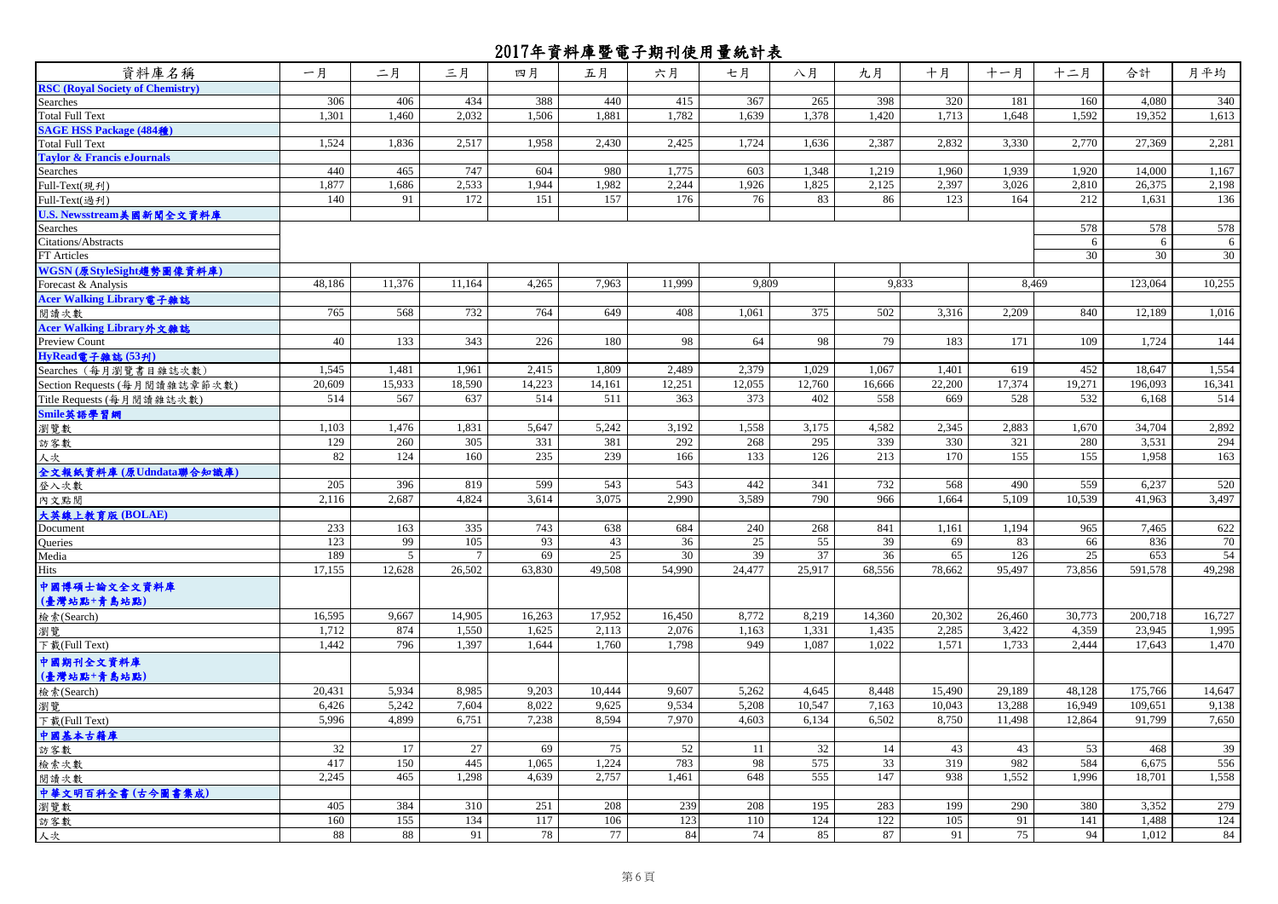| 資料庫名稱                                   | 一月     | 二月             | 三月     | 四月     | 五月     | 六月     | 七月     | 八月     | 九月     | 十月     | 十一月    | 十二月             | 合計      | 月平均    |
|-----------------------------------------|--------|----------------|--------|--------|--------|--------|--------|--------|--------|--------|--------|-----------------|---------|--------|
| <b>RSC (Royal Society of Chemistry)</b> |        |                |        |        |        |        |        |        |        |        |        |                 |         |        |
| Searches                                | 306    | 406            | 434    | 388    | 440    | 415    | 367    | 265    | 398    | 320    | 181    | 160             | 4,080   | 340    |
| Total Full Text                         | 1,301  | 1,460          | 2.032  | 1,506  | 1.881  | 1,782  | 1,639  | 1,378  | 1,420  | 1.713  | 1,648  | 1.592           | 19.352  | 1,613  |
| SAGE HSS Package (484種)                 |        |                |        |        |        |        |        |        |        |        |        |                 |         |        |
| Total Full Text                         | 1,524  | 1,836          | 2,517  | 1.958  | 2,430  | 2,425  | 1,724  | 1,636  | 2,387  | 2.832  | 3,330  | 2,770           | 27,369  | 2,281  |
| <b>Taylor &amp; Francis eJournals</b>   |        |                |        |        |        |        |        |        |        |        |        |                 |         |        |
| Searches                                | 440    | 465            | 747    | 604    | 980    | 1,775  | 603    | 1,348  | 1,219  | 1,960  | 1.939  | 1,920           | 14,000  | 1,167  |
| Full-Text(現刋)                           | 1,877  | 1,686          | 2,533  | 1.944  | 1,982  | 2,244  | 1,926  | 1,825  | 2,125  | 2.397  | 3.026  | 2,810           | 26,375  | 2,198  |
| Full-Text(過刋)                           | 140    | 91             | 172    | 151    | 157    | 176    | 76     | 83     | 86     | 123    | 164    | 212             | 1,631   | 136    |
| U.S. Newsstream美國新聞全文資料庫                |        |                |        |        |        |        |        |        |        |        |        |                 |         |        |
| Searches                                |        |                |        |        |        |        |        |        |        |        |        | 578             | 578     | 578    |
| Citations/Abstracts                     |        |                |        |        |        |        |        |        |        |        |        | 6               | 6       | 6      |
| FT Articles                             |        |                |        |        |        |        |        |        |        |        |        | $\overline{30}$ | 30      | 30     |
| WGSN(原StyleSight趨勢圖像音料庫)                |        |                |        |        |        |        |        |        |        |        |        |                 |         |        |
| Forecast & Analysis                     | 48,186 | 11,376         | 11,164 | 4,265  | 7,963  | 11,999 | 9,809  |        | 9.833  |        | 8.469  |                 | 123,064 | 10,255 |
| Acer Walking Library 電子雜誌               |        |                |        |        |        |        |        |        |        |        |        |                 |         |        |
| 閱讀次數                                    | 765    | 568            | 732    | 764    | 649    | 408    | 1,061  | 375    | 502    | 3,316  | 2,209  | 840             | 12,189  | 1,016  |
| Acer Walking Library外文雜誌                |        |                |        |        |        |        |        |        |        |        |        |                 |         |        |
| Preview Count                           | 40     | 133            | 343    | 226    | 180    | 98     | 64     | 98     | 79     | 183    | 171    | 109             | 1,724   | 144    |
| HyRead電子雜誌 (53刊)                        |        |                |        |        |        |        |        |        |        |        |        |                 |         |        |
| Searches (每月瀏覽書目雜誌次數)                   | 1,545  | 1,481          | 1.961  | 2,415  | 1.809  | 2,489  | 2,379  | 1.029  | 1.067  | 1.401  | 619    | 452             | 18.647  | 1,554  |
| Section Requests (每月閱讀雜誌章節次數)           | 20,609 | 15,933         | 18,590 | 14,223 | 14,161 | 12,251 | 12,055 | 12,760 | 16,666 | 22,200 | 17,374 | 19,271          | 196,093 | 16,341 |
| Title Requests (每月閱讀雜誌次數)               | 514    | 567            | 637    | 514    | 511    | 363    | 373    | 402    | 558    | 669    | 528    | 532             | 6.168   | 514    |
| Smile英語學習網                              |        |                |        |        |        |        |        |        |        |        |        |                 |         |        |
| 瀏覽數                                     | 1,103  | 1,476          | 1,831  | 5,647  | 5,242  | 3,192  | 1,558  | 3,175  | 4,582  | 2,345  | 2,883  | 1,670           | 34,704  | 2,892  |
| 訪客數                                     | 129    | 260            | 305    | 331    | 381    | 292    | 268    | 295    | 339    | 330    | 321    | 280             | 3,531   | 294    |
| 人次                                      | 82     | 124            | 160    | 235    | 239    | 166    | 133    | 126    | 213    | 170    | 155    | 155             | 1,958   | 163    |
| 全文報紙資料庫 (原Udndata聯合知識庫)                 |        |                |        |        |        |        |        |        |        |        |        |                 |         |        |
| 登入次數                                    | 205    | 396            | 819    | 599    | 543    | 543    | 442    | 341    | 732    | 568    | 490    | 559             | 6,237   | 520    |
| 內文點閱                                    | 2,116  | 2,687          | 4,824  | 3,614  | 3,075  | 2,990  | 3,589  | 790    | 966    | 1,664  | 5,109  | 10,539          | 41,963  | 3,497  |
| 大英線上教育版 (BOLAE)                         |        |                |        |        |        |        |        |        |        |        |        |                 |         |        |
| Document                                | 233    | 163            | 335    | 743    | 638    | 684    | 240    | 268    | 841    | 1.161  | 1.194  | 965             | 7.465   | 622    |
| Queries                                 | 123    | 99             | 105    | 93     | 43     | 36     | 25     | 55     | 39     | 69     | 83     | 66              | 836     | 70     |
| Media                                   | 189    | $\overline{5}$ | 7      | 69     | 25     | 30     | 39     | 37     | 36     | 65     | 126    | 25              | 653     | 54     |
| Hits                                    | 17,155 | 12,628         | 26,502 | 63,830 | 49,508 | 54.990 | 24,477 | 25,917 | 68,556 | 78,662 | 95,497 | 73,856          | 591,578 | 49,298 |
| 中國博碩士論文全文資料庫                            |        |                |        |        |        |        |        |        |        |        |        |                 |         |        |
| (臺灣站點+青島站點)                             |        |                |        |        |        |        |        |        |        |        |        |                 |         |        |
|                                         | 16,595 | 9,667          | 14,905 | 16,263 | 17,952 | 16,450 | 8,772  | 8,219  | 14,360 | 20,302 | 26,460 | 30,773          | 200,718 | 16,727 |
| 檢索(Search)                              | 1,712  | 874            | 1,550  | 1,625  | 2,113  | 2,076  | 1,163  | 1,331  | 1,435  | 2,285  | 3,422  | 4,359           | 23,945  | 1,995  |
| 瀏覽                                      | 1,442  | 796            | 1,397  | 1,644  | 1,760  | 1,798  | 949    | 1,087  | 1,022  | 1,571  | 1,733  | 2,444           | 17,643  | 1,470  |
| 下载(Full Text)                           |        |                |        |        |        |        |        |        |        |        |        |                 |         |        |
| 中國期刊全文資料庫                               |        |                |        |        |        |        |        |        |        |        |        |                 |         |        |
| (臺灣站點+青島站點)                             |        |                |        |        |        |        |        |        |        |        |        |                 |         |        |
| 檢索(Search)                              | 20,431 | 5,934          | 8.985  | 9.203  | 10,444 | 9.607  | 5,262  | 4.645  | 8.448  | 15.490 | 29.189 | 48.128          | 175,766 | 14,647 |
| 瀏覽                                      | 6,426  | 5,242          | 7,604  | 8,022  | 9,625  | 9,534  | 5,208  | 10,547 | 7,163  | 10,043 | 13,288 | 16,949          | 109,651 | 9,138  |
| 下载(Full Text)                           | 5,996  | 4,899          | 6,751  | 7,238  | 8,594  | 7,970  | 4,603  | 6,134  | 6,502  | 8,750  | 11,498 | 12,864          | 91,799  | 7,650  |
| 中國基本古籍庫                                 |        |                |        |        |        |        |        |        |        |        |        |                 |         |        |
| 訪客數                                     | 32     | 17             | 27     | 69     | 75     | 52     | 11     | 32     | 14     | 43     | 43     | 53              | 468     | 39     |
| 檢索次數                                    | 417    | 150            | 445    | 1.065  | 1,224  | 783    | 98     | 575    | 33     | 319    | 982    | 584             | 6,675   | 556    |
| 閱讀次數                                    | 2,245  | 465            | 1,298  | 4,639  | 2,757  | 1,461  | 648    | 555    | 147    | 938    | 1,552  | 1,996           | 18,701  | 1,558  |
| 中華文明百科全書(古今圖書集成)                        |        |                |        |        |        |        |        |        |        |        |        |                 |         |        |
| 瀏覽數                                     | 405    | 384            | 310    | 251    | 208    | 239    | 208    | 195    | 283    | 199    | 290    | 380             | 3,352   | 279    |
| 訪客數                                     | 160    | 155            | 134    | 117    | 106    | 123    | 110    | 124    | 122    | 105    | 91     | 141             | 1,488   | 124    |
| 人次                                      | 88     | 88             | 91     | 78     | 77     | 84     | 74     | 85     | 87     | 91     | 75     | 94              | 1.012   | 84     |
|                                         |        |                |        |        |        |        |        |        |        |        |        |                 |         |        |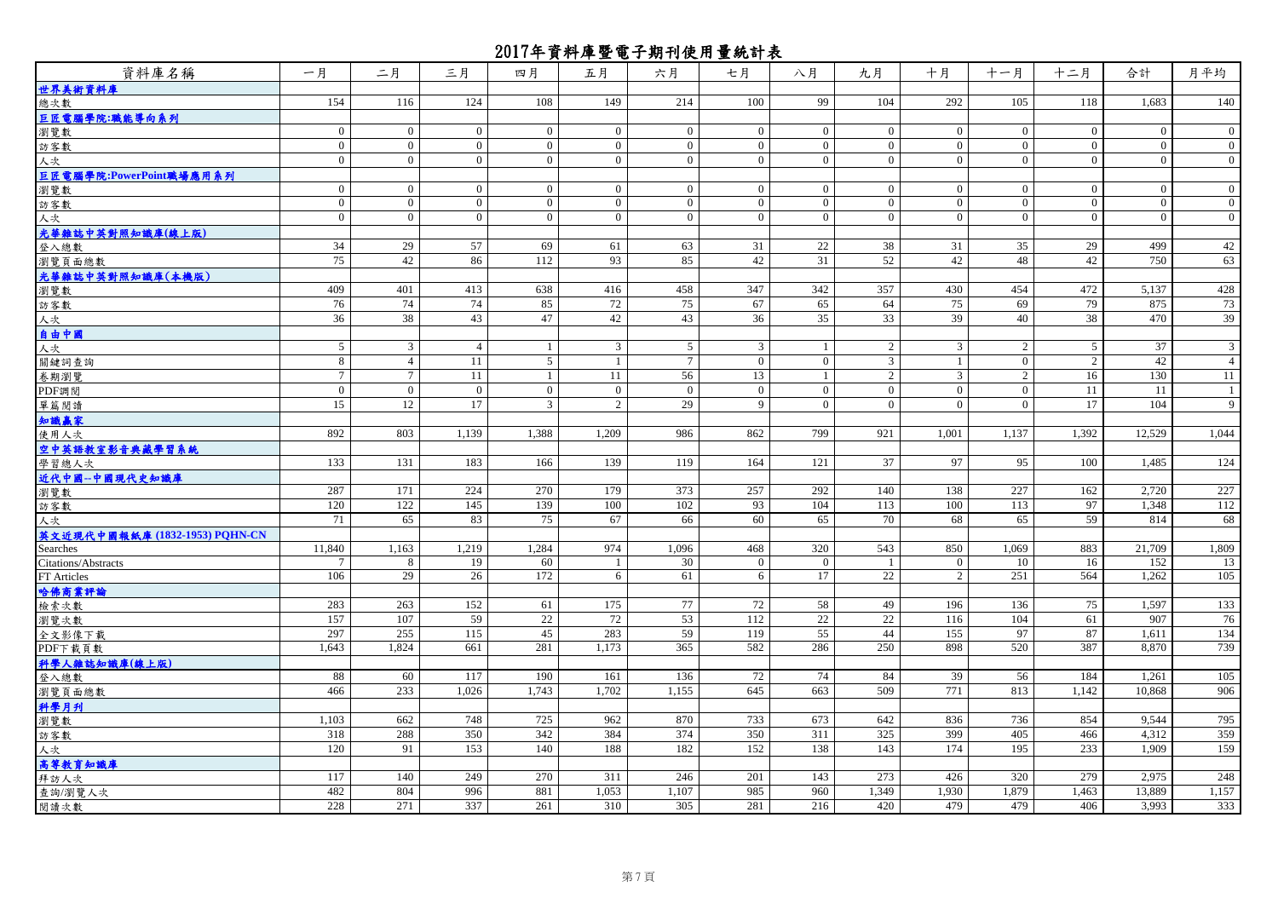| 資料庫名稱                          | 一月             | 二月              | 三月             | 四月             | 五月             | 六月              | 七月             | 八月             | 九月              | 十月             | 十一月            | 十二月            | 合計           | 月平均            |
|--------------------------------|----------------|-----------------|----------------|----------------|----------------|-----------------|----------------|----------------|-----------------|----------------|----------------|----------------|--------------|----------------|
| 世界美術資料庫                        |                |                 |                |                |                |                 |                |                |                 |                |                |                |              |                |
| 總次數                            | 154            | 116             | 124            | 108            | 149            | 214             | 100            | 99             | 104             | 292            | 105            | 118            | 1,683        | 140            |
| 巨匠電腦學院:職能導向系列                  |                |                 |                |                |                |                 |                |                |                 |                |                |                |              |                |
| 瀏覽數                            | $\mathbf{0}$   | $\mathbf{0}$    | $\overline{0}$ | $\overline{0}$ | $\overline{0}$ | $\overline{0}$  | $\overline{0}$ | $\overline{0}$ | $\overline{0}$  | $\overline{0}$ | $\overline{0}$ | $\Omega$       | $\mathbf{0}$ | $\overline{0}$ |
| 訪客數                            | $\mathbf{0}$   | $\overline{0}$  | $\overline{0}$ | $\mathbf{0}$   | $\overline{0}$ | $\mathbf{0}$    | $\overline{0}$ | $\mathbf{0}$   | $\mathbf{0}$    | $\overline{0}$ | $\overline{0}$ | $\overline{0}$ | $\mathbf{0}$ | $\overline{0}$ |
| 人次                             | $\overline{0}$ | $\overline{0}$  | $\overline{0}$ | $\overline{0}$ | $\overline{0}$ | $\overline{0}$  | $\overline{0}$ | $\overline{0}$ | $\overline{0}$  | $\overline{0}$ | $\overline{0}$ | $\overline{0}$ | $\mathbf{0}$ | $\overline{0}$ |
| 巨匠電腦學院:PowerPoint職場應用系列        |                |                 |                |                |                |                 |                |                |                 |                |                |                |              |                |
| 瀏覽數                            | $\overline{0}$ | $\mathbf{0}$    | $\overline{0}$ | $\overline{0}$ | $\overline{0}$ | $\overline{0}$  | $\overline{0}$ | $\mathbf{0}$   | $\overline{0}$  | $\mathbf{0}$   | $\overline{0}$ | $\Omega$       | $\mathbf{0}$ | $\overline{0}$ |
| 訪客數                            | $\mathbf{0}$   | $\Omega$        | $\theta$       | $\theta$       | $\mathbf{0}$   | $\Omega$        | $\theta$       | $\mathbf{0}$   | $\Omega$        | $\mathbf{0}$   | $\theta$       | $\Omega$       | $\mathbf{0}$ | $\overline{0}$ |
| 人次                             | $\mathbf{0}$   | $\overline{0}$  | $\overline{0}$ | $\overline{0}$ | $\overline{0}$ | $\mathbf{0}$    | $\overline{0}$ | $\overline{0}$ | $\overline{0}$  | $\overline{0}$ | $\overline{0}$ | $\Omega$       | $\mathbf{0}$ | $\overline{0}$ |
| 光華雜誌中英對照知識庫(線上版)               |                |                 |                |                |                |                 |                |                |                 |                |                |                |              |                |
| 登入總數                           | 34             | 29              | 57             | 69             | 61             | 63              | 31             | $22\,$         | 38              | 31             | 35             | 29             | 499          | 42             |
| 瀏覽頁面總數                         | 75             | 42              | 86             | 112            | 93             | 85              | 42             | 31             | 52              | 42             | 48             | 42             | 750          | 63             |
| 光華雜誌中英對照知識庫(本機版)               |                |                 |                |                |                |                 |                |                |                 |                |                |                |              |                |
| 瀏覽數                            | 409            | 401             | 413            | 638            | 416            | 458             | 347            | 342            | 357             | 430            | 454            | 472            | 5,137        | 428            |
| 訪客數                            | 76             | 74              | 74             | 85             | 72             | 75              | 67             | 65             | 64              | 75             | 69             | 79             | 875          | 73             |
| 人次                             | 36             | 38              | 43             | 47             | 42             | 43              | 36             | 35             | 33              | 39             | 40             | 38             | 470          | 39             |
| 自由中國                           |                |                 |                |                |                |                 |                |                |                 |                |                |                |              |                |
| 人次                             | 5              | $\overline{3}$  | $\overline{4}$ |                | $\mathbf{3}$   | 5               | 3              | $\overline{1}$ | 2               | 3              | 2              | 5              | 37           | $\overline{3}$ |
| 關鍵詞查詢                          | 8              | $\overline{4}$  | 11             | 5              | $\mathbf{1}$   | $7\phantom{.0}$ | $\overline{0}$ | $\overline{0}$ | $\mathfrak{Z}$  | -1             | $\overline{0}$ | 2              | 42           | $\overline{4}$ |
| 卷期瀏覽                           | $\tau$         | $\overline{7}$  | 11             |                | 11             | 56              | 13             | $\mathbf{1}$   | $\overline{2}$  | $\overline{3}$ | $\overline{2}$ | 16             | 130          | 11             |
| PDF調閲                          | $\overline{0}$ | $\overline{0}$  | $\overline{0}$ | $\overline{0}$ | $\mathbf{0}$   | $\bf{0}$        | $\overline{0}$ | $\overline{0}$ | $\mathbf{0}$    | $\overline{0}$ | $\overline{0}$ | 11             | 11           | $\mathbf{1}$   |
| 單篇閱讀                           | 15             | 12              | 17             | $\overline{3}$ | $\overline{2}$ | 29              | 9              | $\overline{0}$ | $\overline{0}$  | $\Omega$       | $\Omega$       | 17             | 104          | 9              |
| 知識贏家                           |                |                 |                |                |                |                 |                |                |                 |                |                |                |              |                |
| 使用人次                           | 892            | 803             | 1.139          | 1.388          | 1.209          | 986             | 862            | 799            | 921             | 1.001          | 1.137          | 1.392          | 12.529       | 1,044          |
| 空中英語教室影音典藏學習系統                 |                |                 |                |                |                |                 |                |                |                 |                |                |                |              |                |
| 學習總人次                          | 133            | 131             | 183            | 166            | 139            | 119             | 164            | 121            | 37              | 97             | 95             | 100            | 1,485        | 124            |
| 近代中國--中國現代史知識庫                 |                |                 |                |                |                |                 |                |                |                 |                |                |                |              |                |
| 瀏覽數                            | 287            | 171             | 224            | 270            | 179            | 373             | 257            | 292            | 140             | 138            | 227            | 162            | 2,720        | 227            |
| 訪客數                            | 120            | 122             | 145            | 139            | 100            | 102             | 93             | 104            | 113             | 100            | 113            | 97             | 1,348        | 112            |
| 人次                             | 71             | 65              | 83             | 75             | 67             | 66              | 60             | 65             | 70              | 68             | 65             | 59             | 814          | 68             |
| 英文近現代中國報紙庫 (1832-1953) PQHN-CN |                |                 |                |                |                |                 |                |                |                 |                |                |                |              |                |
| Searches                       | 11,840         | 1,163           | 1,219          | 1,284          | 974            | 1,096           | 468            | 320            | 543             | 850            | 1,069          | 883            | 21,709       | 1,809          |
| Citations/Abstracts            | $\tau$         | 8               | 19             | 60             | $\mathbf{1}$   | 30              | $\mathbf{0}$   | $\mathbf{0}$   | -1              | $\overline{0}$ | 10             | 16             | 152          | 13             |
| FT Articles                    | 106            | $\overline{29}$ | 26             | 172            | 6              | 61              | 6              | 17             | $\overline{22}$ | 2              | 251            | 564            | 1,262        | 105            |
| 哈佛商業評論                         |                |                 |                |                |                |                 |                |                |                 |                |                |                |              |                |
| 檢索次數                           | 283            | 263             | 152            | 61             | 175            | 77              | 72             | 58             | 49              | 196            | 136            | 75             | 1,597        | 133            |
| 瀏覽次數                           | 157            | 107             | 59             | 22             | 72             | 53              | 112            | 22             | 22              | 116            | 104            | 61             | 907          | 76             |
| 全文影像下載                         | 297            | 255             | 115            | 45             | 283            | 59              | 119            | 55             | 44              | 155            | 97             | 87             | 1,611        | 134            |
| PDF下载頁數                        | 1.643          | 1,824           | 661            | 281            | 1.173          | 365             | 582            | 286            | 250             | 898            | 520            | 387            | 8.870        | 739            |
| 科學人雜誌知識庫(線上版)                  |                |                 |                |                |                |                 |                |                |                 |                |                |                |              |                |
| 登入總數                           | 88             | 60              | 117            | 190            | 161            | 136             | 72             | 74             | 84              | 39             | 56             | 184            | 1,261        | 105            |
| 瀏覽頁面總數                         | 466            | 233             | 1.026          | 1,743          | 1,702          | 1,155           | 645            | 663            | 509             | 771            | 813            | 1,142          | 10,868       | 906            |
| 科學月刊                           |                |                 |                |                |                |                 |                |                |                 |                |                |                |              |                |
| 瀏覽數                            | 1,103          | 662             | 748            | 725            | 962            | 870             | 733            | 673            | 642             | 836            | 736            | 854            | 9,544        | 795            |
| 訪客數                            | 318            | 288             | 350            | 342            | 384            | 374             | 350            | 311            | 325             | 399            | 405            | 466            | 4.312        | 359            |
| 人次                             | 120            | 91              | 153            | 140            | 188            | 182             | 152            | 138            | 143             | 174            | 195            | 233            | 1,909        | 159            |
| 高等教育知識庫                        |                |                 |                |                |                |                 |                |                |                 |                |                |                |              |                |
| 拜訪人次                           | 117            | 140             | 249            | 270            | 311            | 246             | 201            | 143            | 273             | 426            | 320            | 279            | 2,975        | 248            |
| 查詢/瀏覽人次                        | 482            | 804             | 996            | 881            | 1,053          | 1,107           | 985            | 960            | 1,349           | 1,930          | 1,879          | 1,463          | 13,889       | 1,157          |
| 閱讀次數                           | 228            | 271             | 337            | 261            | 310            | 305             | 281            | 216            | 420             | 479            | 479            | 406            | 3,993        | 333            |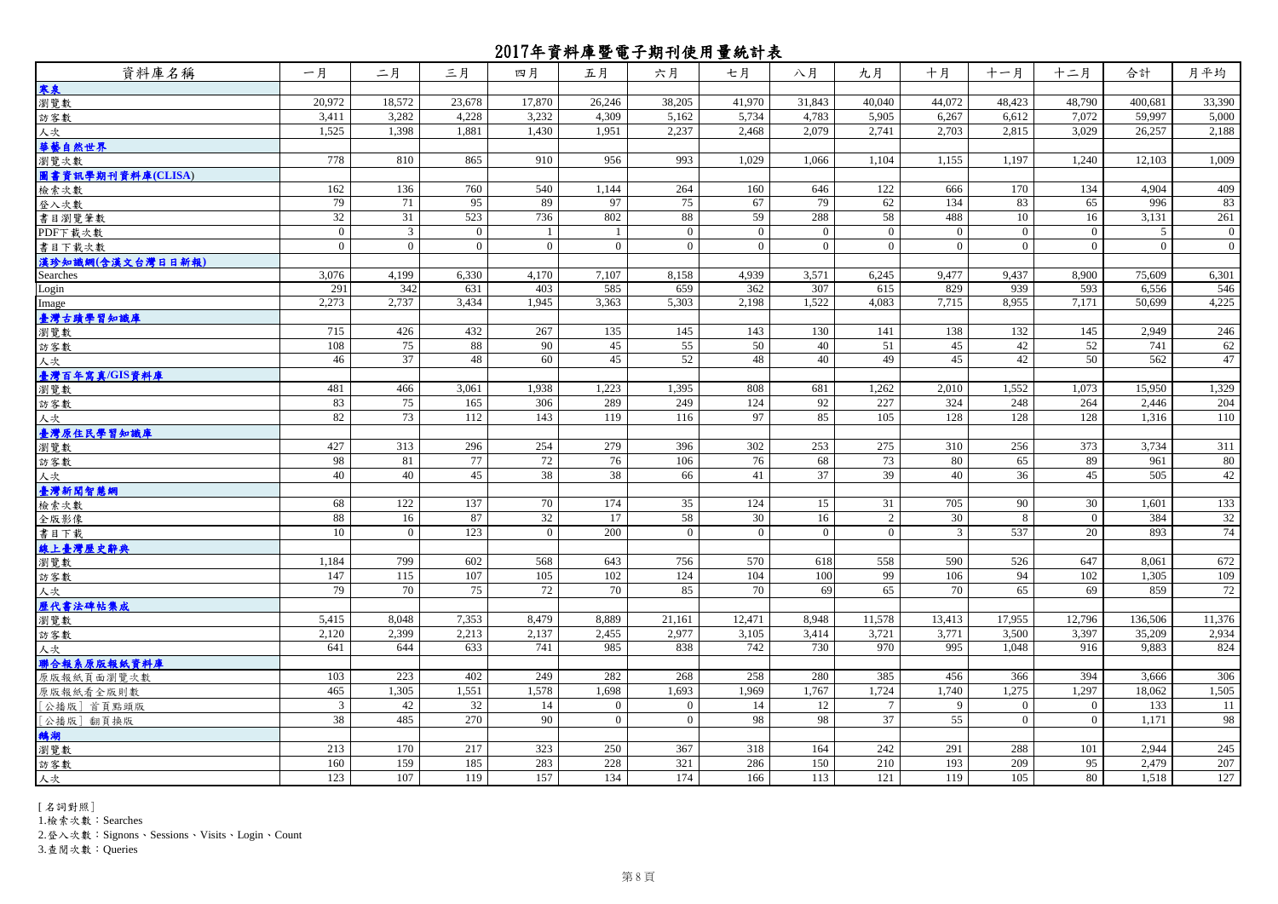| 18,572<br>17,870<br>26.246<br>38,205<br>41.970<br>31.843<br>44.072<br>48.423<br>33,390<br>20.972<br>23,678<br>40.040<br>48.790<br>400.681<br>3,411<br>3,282<br>4,228<br>3,232<br>4,309<br>5,162<br>5,734<br>4,783<br>5,905<br>6,267<br>7,072<br>59,997<br>5,000<br>6,612<br>1,525<br>2,237<br>2,079<br>3,029<br>1,398<br>1,881<br>1,430<br>1,951<br>2,468<br>2,741<br>2,703<br>2,815<br>26,257<br>2,188<br>778<br>810<br>865<br>956<br>993<br>1,029<br>1,009<br>910<br>1,066<br>1,104<br>1,155<br>1,197<br>1.240<br>12,103<br>162<br>136<br>760<br>1,144<br>264<br>122<br>134<br>4,904<br>409<br>540<br>160<br>646<br>666<br>170<br>79<br>71<br>95<br>97<br>75<br>67<br>79<br>62<br>134<br>83<br>996<br>83<br>89<br>65<br>523<br>802<br>288<br>58<br>32<br>31<br>736<br>88<br>59<br>488<br>10<br>16<br>3,131<br>261<br>$\mathfrak{Z}$<br>$\mathbf{0}$<br>$\overline{0}$<br>$\overline{0}$<br>$\mathbf{0}$<br>$\overline{0}$<br>$\boldsymbol{0}$<br>$\theta$<br>$\overline{0}$<br>$\overline{0}$<br>$\overline{1}$<br>$\overline{0}$<br>.5<br>$\boldsymbol{0}$<br>$\theta$<br>$\theta$<br>$\theta$<br>$\Omega$<br>$\theta$<br>$\theta$<br>書目下載次數<br>$\Omega$<br>$\Omega$<br>$\Omega$<br>$\Omega$<br>$\Omega$<br>$\Omega$<br>$\Omega$<br>漠珍知識網(含漢文台灣日日新報)<br>3,076<br>4,199<br>6,330<br>4,170<br>7,107<br>8,158<br>4,939<br>3,571<br>6,245<br>9,477<br>9,437<br>8,900<br>75,609<br>6,301<br>342<br>585<br>291<br>631<br>403<br>659<br>362<br>307<br>615<br>829<br>939<br>593<br>6,556<br>546<br>2,273<br>2,737<br>3.434<br>3.363<br>5,303<br>2.198<br>1.522<br>4.083<br>7.715<br>8.955<br>50,699<br>4,225<br>1.945<br>7.171<br>臺灣古蹟學習知識庫<br>135<br>715<br>426<br>432<br>267<br>145<br>143<br>130<br>141<br>138<br>132<br>145<br>2,949<br>246<br>88<br>42<br>62<br>108<br>75<br>90<br>45<br>55<br>50<br>40<br>51<br>45<br>52<br>741<br>$\overline{37}$<br>45<br>45<br>48<br>52<br>48<br>40<br>49<br>42<br>50<br>562<br>47<br>46<br>60<br>1,552<br>1,329<br>481<br>3,061<br>1,938<br>1,223<br>1,395<br>681<br>1,262<br>2,010<br>1,073<br>15,950<br>466<br>808<br>75<br>289<br>249<br>124<br>92<br>227<br>324<br>248<br>264<br>2,446<br>83<br>165<br>306<br>204<br>73<br>112<br>119<br>85<br>82<br>143<br>116<br>97<br>105<br>128<br>128<br>128<br>1,316<br>110<br>279<br>427<br>313<br>296<br>254<br>396<br>302<br>253<br>275<br>310<br>256<br>373<br>3,734<br>311<br>77<br>72<br>76<br>65<br>80<br>98<br>81<br>106<br>76<br>68<br>73<br>80<br>89<br>961<br>38<br>45<br>37<br>39<br>36<br>45<br>42<br>40<br>40<br>38<br>66<br>41<br>40<br>505<br>137<br>174<br>133<br>122<br>70<br>35<br>124<br>15<br>705<br>30<br>1,601<br>68<br>31<br>90<br>87<br>32<br>58<br>32<br>88<br>16<br>17<br>30<br>16<br>$\overline{2}$<br>30<br>8<br>384<br>$\overline{0}$<br>123<br>200<br>537<br>893<br>74<br>$\overline{0}$<br>$\overline{0}$<br>$\mathbf{0}$<br>$\overline{0}$<br>$\overline{0}$<br>$\mathbf{0}$<br>$\mathfrak{Z}$<br>20<br>10<br>672<br>1,184<br>799<br>602<br>568<br>643<br>756<br>570<br>558<br>590<br>526<br>647<br>8,061<br>618<br>$\frac{115}{2}$<br>107<br>102<br>1.305<br>147<br>105<br>124<br>104<br>100<br>99<br>106<br>94<br>102<br>109<br>72<br>79<br>75<br>85<br>70<br>72<br>70<br>70<br>69<br>65<br>70<br>65<br>859<br>69<br>11,376<br>5,415<br>8,048<br>7,353<br>8,479<br>8,889<br>21,161<br>12,471<br>8,948<br>11,578<br>13,413<br>17,955<br>12,796<br>136,506<br>2,120<br>2,399<br>2,213<br>2,137<br>2,455<br>2,977<br>3,414<br>3,721<br>3,771<br>3,500<br>3,397<br>35,209<br>2,934<br>3,105<br>838<br>742<br>730<br>970<br>9.883<br>641<br>644<br>633<br>741<br>985<br>995<br>1.048<br>916<br>824<br>223<br>402<br>249<br>282<br>268<br>280<br>385<br>394<br>3.666<br>306<br>103<br>258<br>456<br>366<br>1,551<br>1,698<br>1,275<br>465<br>1,305<br>1,578<br>1,693<br>1,969<br>1,767<br>1,724<br>1,740<br>1,297<br>18,062<br>1,505<br>32<br>11<br>42<br>$\mathbf{0}$<br>14<br>12<br>$7\phantom{.0}$<br>133<br>3<br>14<br>$\theta$<br>9<br>$\bf{0}$<br>$\overline{0}$<br>37<br>38<br>485<br>270<br>$\overline{0}$<br>98<br>98<br>55<br>$\mathbf{0}$<br>1,171<br>98<br>90<br>$\mathbf{0}$<br>$\overline{0}$<br>245<br>217<br>250<br>367<br>242<br>2,944<br>213<br>170<br>323<br>318<br>164<br>291<br>288<br>101<br>207<br>160<br>159<br>185<br>283<br>228<br>321<br>210<br>193<br>209<br>2,479<br>286<br>150<br>95<br>127<br>107<br>119<br>134<br>174<br>123<br>157<br>166<br>113<br>121<br>119<br>105<br>80<br>1,518 | 資料庫名稱             | 一月 | 二月 | 三月 | 四月 | 五月 | 六月 | 七月 | 八月 | 九月 | 十月 | 十一月 | 十二月 | 合計 | 月平均 |
|-----------------------------------------------------------------------------------------------------------------------------------------------------------------------------------------------------------------------------------------------------------------------------------------------------------------------------------------------------------------------------------------------------------------------------------------------------------------------------------------------------------------------------------------------------------------------------------------------------------------------------------------------------------------------------------------------------------------------------------------------------------------------------------------------------------------------------------------------------------------------------------------------------------------------------------------------------------------------------------------------------------------------------------------------------------------------------------------------------------------------------------------------------------------------------------------------------------------------------------------------------------------------------------------------------------------------------------------------------------------------------------------------------------------------------------------------------------------------------------------------------------------------------------------------------------------------------------------------------------------------------------------------------------------------------------------------------------------------------------------------------------------------------------------------------------------------------------------------------------------------------------------------------------------------------------------------------------------------------------------------------------------------------------------------------------------------------------------------------------------------------------------------------------------------------------------------------------------------------------------------------------------------------------------------------------------------------------------------------------------------------------------------------------------------------------------------------------------------------------------------------------------------------------------------------------------------------------------------------------------------------------------------------------------------------------------------------------------------------------------------------------------------------------------------------------------------------------------------------------------------------------------------------------------------------------------------------------------------------------------------------------------------------------------------------------------------------------------------------------------------------------------------------------------------------------------------------------------------------------------------------------------------------------------------------------------------------------------------------------------------------------------------------------------------------------------------------------------------------------------------------------------------------------------------------------------------------------------------------------------------------------------------------------------------------------------------------------------------------------------------------------------------------------------------------------------------------------------------------------------------------------------------------------------------------------------------------------------------------------------------------------------------------------------------------------------------------------------------------------------------------------------------------------------------------------------------------------------------------------------------------------------------------------------------------------------------------------------------------------------------------------------------------------------------------------|-------------------|----|----|----|----|----|----|----|----|----|----|-----|-----|----|-----|
|                                                                                                                                                                                                                                                                                                                                                                                                                                                                                                                                                                                                                                                                                                                                                                                                                                                                                                                                                                                                                                                                                                                                                                                                                                                                                                                                                                                                                                                                                                                                                                                                                                                                                                                                                                                                                                                                                                                                                                                                                                                                                                                                                                                                                                                                                                                                                                                                                                                                                                                                                                                                                                                                                                                                                                                                                                                                                                                                                                                                                                                                                                                                                                                                                                                                                                                                                                                                                                                                                                                                                                                                                                                                                                                                                                                                                                                                                                                                                                                                                                                                                                                                                                                                                                                                                                                                                                                                                                   | 寒泉                |    |    |    |    |    |    |    |    |    |    |     |     |    |     |
|                                                                                                                                                                                                                                                                                                                                                                                                                                                                                                                                                                                                                                                                                                                                                                                                                                                                                                                                                                                                                                                                                                                                                                                                                                                                                                                                                                                                                                                                                                                                                                                                                                                                                                                                                                                                                                                                                                                                                                                                                                                                                                                                                                                                                                                                                                                                                                                                                                                                                                                                                                                                                                                                                                                                                                                                                                                                                                                                                                                                                                                                                                                                                                                                                                                                                                                                                                                                                                                                                                                                                                                                                                                                                                                                                                                                                                                                                                                                                                                                                                                                                                                                                                                                                                                                                                                                                                                                                                   | 瀏覽數               |    |    |    |    |    |    |    |    |    |    |     |     |    |     |
|                                                                                                                                                                                                                                                                                                                                                                                                                                                                                                                                                                                                                                                                                                                                                                                                                                                                                                                                                                                                                                                                                                                                                                                                                                                                                                                                                                                                                                                                                                                                                                                                                                                                                                                                                                                                                                                                                                                                                                                                                                                                                                                                                                                                                                                                                                                                                                                                                                                                                                                                                                                                                                                                                                                                                                                                                                                                                                                                                                                                                                                                                                                                                                                                                                                                                                                                                                                                                                                                                                                                                                                                                                                                                                                                                                                                                                                                                                                                                                                                                                                                                                                                                                                                                                                                                                                                                                                                                                   | 訪客數               |    |    |    |    |    |    |    |    |    |    |     |     |    |     |
|                                                                                                                                                                                                                                                                                                                                                                                                                                                                                                                                                                                                                                                                                                                                                                                                                                                                                                                                                                                                                                                                                                                                                                                                                                                                                                                                                                                                                                                                                                                                                                                                                                                                                                                                                                                                                                                                                                                                                                                                                                                                                                                                                                                                                                                                                                                                                                                                                                                                                                                                                                                                                                                                                                                                                                                                                                                                                                                                                                                                                                                                                                                                                                                                                                                                                                                                                                                                                                                                                                                                                                                                                                                                                                                                                                                                                                                                                                                                                                                                                                                                                                                                                                                                                                                                                                                                                                                                                                   | 人次                |    |    |    |    |    |    |    |    |    |    |     |     |    |     |
|                                                                                                                                                                                                                                                                                                                                                                                                                                                                                                                                                                                                                                                                                                                                                                                                                                                                                                                                                                                                                                                                                                                                                                                                                                                                                                                                                                                                                                                                                                                                                                                                                                                                                                                                                                                                                                                                                                                                                                                                                                                                                                                                                                                                                                                                                                                                                                                                                                                                                                                                                                                                                                                                                                                                                                                                                                                                                                                                                                                                                                                                                                                                                                                                                                                                                                                                                                                                                                                                                                                                                                                                                                                                                                                                                                                                                                                                                                                                                                                                                                                                                                                                                                                                                                                                                                                                                                                                                                   | 華藝自然世界            |    |    |    |    |    |    |    |    |    |    |     |     |    |     |
|                                                                                                                                                                                                                                                                                                                                                                                                                                                                                                                                                                                                                                                                                                                                                                                                                                                                                                                                                                                                                                                                                                                                                                                                                                                                                                                                                                                                                                                                                                                                                                                                                                                                                                                                                                                                                                                                                                                                                                                                                                                                                                                                                                                                                                                                                                                                                                                                                                                                                                                                                                                                                                                                                                                                                                                                                                                                                                                                                                                                                                                                                                                                                                                                                                                                                                                                                                                                                                                                                                                                                                                                                                                                                                                                                                                                                                                                                                                                                                                                                                                                                                                                                                                                                                                                                                                                                                                                                                   | 瀏覽次數              |    |    |    |    |    |    |    |    |    |    |     |     |    |     |
|                                                                                                                                                                                                                                                                                                                                                                                                                                                                                                                                                                                                                                                                                                                                                                                                                                                                                                                                                                                                                                                                                                                                                                                                                                                                                                                                                                                                                                                                                                                                                                                                                                                                                                                                                                                                                                                                                                                                                                                                                                                                                                                                                                                                                                                                                                                                                                                                                                                                                                                                                                                                                                                                                                                                                                                                                                                                                                                                                                                                                                                                                                                                                                                                                                                                                                                                                                                                                                                                                                                                                                                                                                                                                                                                                                                                                                                                                                                                                                                                                                                                                                                                                                                                                                                                                                                                                                                                                                   | 圖書資訊學期刊資料庫(CLISA) |    |    |    |    |    |    |    |    |    |    |     |     |    |     |
|                                                                                                                                                                                                                                                                                                                                                                                                                                                                                                                                                                                                                                                                                                                                                                                                                                                                                                                                                                                                                                                                                                                                                                                                                                                                                                                                                                                                                                                                                                                                                                                                                                                                                                                                                                                                                                                                                                                                                                                                                                                                                                                                                                                                                                                                                                                                                                                                                                                                                                                                                                                                                                                                                                                                                                                                                                                                                                                                                                                                                                                                                                                                                                                                                                                                                                                                                                                                                                                                                                                                                                                                                                                                                                                                                                                                                                                                                                                                                                                                                                                                                                                                                                                                                                                                                                                                                                                                                                   | 檢索次數              |    |    |    |    |    |    |    |    |    |    |     |     |    |     |
|                                                                                                                                                                                                                                                                                                                                                                                                                                                                                                                                                                                                                                                                                                                                                                                                                                                                                                                                                                                                                                                                                                                                                                                                                                                                                                                                                                                                                                                                                                                                                                                                                                                                                                                                                                                                                                                                                                                                                                                                                                                                                                                                                                                                                                                                                                                                                                                                                                                                                                                                                                                                                                                                                                                                                                                                                                                                                                                                                                                                                                                                                                                                                                                                                                                                                                                                                                                                                                                                                                                                                                                                                                                                                                                                                                                                                                                                                                                                                                                                                                                                                                                                                                                                                                                                                                                                                                                                                                   | 登入次數              |    |    |    |    |    |    |    |    |    |    |     |     |    |     |
|                                                                                                                                                                                                                                                                                                                                                                                                                                                                                                                                                                                                                                                                                                                                                                                                                                                                                                                                                                                                                                                                                                                                                                                                                                                                                                                                                                                                                                                                                                                                                                                                                                                                                                                                                                                                                                                                                                                                                                                                                                                                                                                                                                                                                                                                                                                                                                                                                                                                                                                                                                                                                                                                                                                                                                                                                                                                                                                                                                                                                                                                                                                                                                                                                                                                                                                                                                                                                                                                                                                                                                                                                                                                                                                                                                                                                                                                                                                                                                                                                                                                                                                                                                                                                                                                                                                                                                                                                                   | 書目瀏覽筆數            |    |    |    |    |    |    |    |    |    |    |     |     |    |     |
|                                                                                                                                                                                                                                                                                                                                                                                                                                                                                                                                                                                                                                                                                                                                                                                                                                                                                                                                                                                                                                                                                                                                                                                                                                                                                                                                                                                                                                                                                                                                                                                                                                                                                                                                                                                                                                                                                                                                                                                                                                                                                                                                                                                                                                                                                                                                                                                                                                                                                                                                                                                                                                                                                                                                                                                                                                                                                                                                                                                                                                                                                                                                                                                                                                                                                                                                                                                                                                                                                                                                                                                                                                                                                                                                                                                                                                                                                                                                                                                                                                                                                                                                                                                                                                                                                                                                                                                                                                   | PDF下载次數           |    |    |    |    |    |    |    |    |    |    |     |     |    |     |
|                                                                                                                                                                                                                                                                                                                                                                                                                                                                                                                                                                                                                                                                                                                                                                                                                                                                                                                                                                                                                                                                                                                                                                                                                                                                                                                                                                                                                                                                                                                                                                                                                                                                                                                                                                                                                                                                                                                                                                                                                                                                                                                                                                                                                                                                                                                                                                                                                                                                                                                                                                                                                                                                                                                                                                                                                                                                                                                                                                                                                                                                                                                                                                                                                                                                                                                                                                                                                                                                                                                                                                                                                                                                                                                                                                                                                                                                                                                                                                                                                                                                                                                                                                                                                                                                                                                                                                                                                                   |                   |    |    |    |    |    |    |    |    |    |    |     |     |    |     |
|                                                                                                                                                                                                                                                                                                                                                                                                                                                                                                                                                                                                                                                                                                                                                                                                                                                                                                                                                                                                                                                                                                                                                                                                                                                                                                                                                                                                                                                                                                                                                                                                                                                                                                                                                                                                                                                                                                                                                                                                                                                                                                                                                                                                                                                                                                                                                                                                                                                                                                                                                                                                                                                                                                                                                                                                                                                                                                                                                                                                                                                                                                                                                                                                                                                                                                                                                                                                                                                                                                                                                                                                                                                                                                                                                                                                                                                                                                                                                                                                                                                                                                                                                                                                                                                                                                                                                                                                                                   |                   |    |    |    |    |    |    |    |    |    |    |     |     |    |     |
|                                                                                                                                                                                                                                                                                                                                                                                                                                                                                                                                                                                                                                                                                                                                                                                                                                                                                                                                                                                                                                                                                                                                                                                                                                                                                                                                                                                                                                                                                                                                                                                                                                                                                                                                                                                                                                                                                                                                                                                                                                                                                                                                                                                                                                                                                                                                                                                                                                                                                                                                                                                                                                                                                                                                                                                                                                                                                                                                                                                                                                                                                                                                                                                                                                                                                                                                                                                                                                                                                                                                                                                                                                                                                                                                                                                                                                                                                                                                                                                                                                                                                                                                                                                                                                                                                                                                                                                                                                   | Searches          |    |    |    |    |    |    |    |    |    |    |     |     |    |     |
|                                                                                                                                                                                                                                                                                                                                                                                                                                                                                                                                                                                                                                                                                                                                                                                                                                                                                                                                                                                                                                                                                                                                                                                                                                                                                                                                                                                                                                                                                                                                                                                                                                                                                                                                                                                                                                                                                                                                                                                                                                                                                                                                                                                                                                                                                                                                                                                                                                                                                                                                                                                                                                                                                                                                                                                                                                                                                                                                                                                                                                                                                                                                                                                                                                                                                                                                                                                                                                                                                                                                                                                                                                                                                                                                                                                                                                                                                                                                                                                                                                                                                                                                                                                                                                                                                                                                                                                                                                   | Login             |    |    |    |    |    |    |    |    |    |    |     |     |    |     |
|                                                                                                                                                                                                                                                                                                                                                                                                                                                                                                                                                                                                                                                                                                                                                                                                                                                                                                                                                                                                                                                                                                                                                                                                                                                                                                                                                                                                                                                                                                                                                                                                                                                                                                                                                                                                                                                                                                                                                                                                                                                                                                                                                                                                                                                                                                                                                                                                                                                                                                                                                                                                                                                                                                                                                                                                                                                                                                                                                                                                                                                                                                                                                                                                                                                                                                                                                                                                                                                                                                                                                                                                                                                                                                                                                                                                                                                                                                                                                                                                                                                                                                                                                                                                                                                                                                                                                                                                                                   | Image             |    |    |    |    |    |    |    |    |    |    |     |     |    |     |
|                                                                                                                                                                                                                                                                                                                                                                                                                                                                                                                                                                                                                                                                                                                                                                                                                                                                                                                                                                                                                                                                                                                                                                                                                                                                                                                                                                                                                                                                                                                                                                                                                                                                                                                                                                                                                                                                                                                                                                                                                                                                                                                                                                                                                                                                                                                                                                                                                                                                                                                                                                                                                                                                                                                                                                                                                                                                                                                                                                                                                                                                                                                                                                                                                                                                                                                                                                                                                                                                                                                                                                                                                                                                                                                                                                                                                                                                                                                                                                                                                                                                                                                                                                                                                                                                                                                                                                                                                                   |                   |    |    |    |    |    |    |    |    |    |    |     |     |    |     |
|                                                                                                                                                                                                                                                                                                                                                                                                                                                                                                                                                                                                                                                                                                                                                                                                                                                                                                                                                                                                                                                                                                                                                                                                                                                                                                                                                                                                                                                                                                                                                                                                                                                                                                                                                                                                                                                                                                                                                                                                                                                                                                                                                                                                                                                                                                                                                                                                                                                                                                                                                                                                                                                                                                                                                                                                                                                                                                                                                                                                                                                                                                                                                                                                                                                                                                                                                                                                                                                                                                                                                                                                                                                                                                                                                                                                                                                                                                                                                                                                                                                                                                                                                                                                                                                                                                                                                                                                                                   | 瀏覽數               |    |    |    |    |    |    |    |    |    |    |     |     |    |     |
|                                                                                                                                                                                                                                                                                                                                                                                                                                                                                                                                                                                                                                                                                                                                                                                                                                                                                                                                                                                                                                                                                                                                                                                                                                                                                                                                                                                                                                                                                                                                                                                                                                                                                                                                                                                                                                                                                                                                                                                                                                                                                                                                                                                                                                                                                                                                                                                                                                                                                                                                                                                                                                                                                                                                                                                                                                                                                                                                                                                                                                                                                                                                                                                                                                                                                                                                                                                                                                                                                                                                                                                                                                                                                                                                                                                                                                                                                                                                                                                                                                                                                                                                                                                                                                                                                                                                                                                                                                   | 訪客數               |    |    |    |    |    |    |    |    |    |    |     |     |    |     |
|                                                                                                                                                                                                                                                                                                                                                                                                                                                                                                                                                                                                                                                                                                                                                                                                                                                                                                                                                                                                                                                                                                                                                                                                                                                                                                                                                                                                                                                                                                                                                                                                                                                                                                                                                                                                                                                                                                                                                                                                                                                                                                                                                                                                                                                                                                                                                                                                                                                                                                                                                                                                                                                                                                                                                                                                                                                                                                                                                                                                                                                                                                                                                                                                                                                                                                                                                                                                                                                                                                                                                                                                                                                                                                                                                                                                                                                                                                                                                                                                                                                                                                                                                                                                                                                                                                                                                                                                                                   | 人次                |    |    |    |    |    |    |    |    |    |    |     |     |    |     |
|                                                                                                                                                                                                                                                                                                                                                                                                                                                                                                                                                                                                                                                                                                                                                                                                                                                                                                                                                                                                                                                                                                                                                                                                                                                                                                                                                                                                                                                                                                                                                                                                                                                                                                                                                                                                                                                                                                                                                                                                                                                                                                                                                                                                                                                                                                                                                                                                                                                                                                                                                                                                                                                                                                                                                                                                                                                                                                                                                                                                                                                                                                                                                                                                                                                                                                                                                                                                                                                                                                                                                                                                                                                                                                                                                                                                                                                                                                                                                                                                                                                                                                                                                                                                                                                                                                                                                                                                                                   | 臺灣百年寫真/GIS資料庫     |    |    |    |    |    |    |    |    |    |    |     |     |    |     |
|                                                                                                                                                                                                                                                                                                                                                                                                                                                                                                                                                                                                                                                                                                                                                                                                                                                                                                                                                                                                                                                                                                                                                                                                                                                                                                                                                                                                                                                                                                                                                                                                                                                                                                                                                                                                                                                                                                                                                                                                                                                                                                                                                                                                                                                                                                                                                                                                                                                                                                                                                                                                                                                                                                                                                                                                                                                                                                                                                                                                                                                                                                                                                                                                                                                                                                                                                                                                                                                                                                                                                                                                                                                                                                                                                                                                                                                                                                                                                                                                                                                                                                                                                                                                                                                                                                                                                                                                                                   | 瀏覽數               |    |    |    |    |    |    |    |    |    |    |     |     |    |     |
|                                                                                                                                                                                                                                                                                                                                                                                                                                                                                                                                                                                                                                                                                                                                                                                                                                                                                                                                                                                                                                                                                                                                                                                                                                                                                                                                                                                                                                                                                                                                                                                                                                                                                                                                                                                                                                                                                                                                                                                                                                                                                                                                                                                                                                                                                                                                                                                                                                                                                                                                                                                                                                                                                                                                                                                                                                                                                                                                                                                                                                                                                                                                                                                                                                                                                                                                                                                                                                                                                                                                                                                                                                                                                                                                                                                                                                                                                                                                                                                                                                                                                                                                                                                                                                                                                                                                                                                                                                   | 訪客數               |    |    |    |    |    |    |    |    |    |    |     |     |    |     |
|                                                                                                                                                                                                                                                                                                                                                                                                                                                                                                                                                                                                                                                                                                                                                                                                                                                                                                                                                                                                                                                                                                                                                                                                                                                                                                                                                                                                                                                                                                                                                                                                                                                                                                                                                                                                                                                                                                                                                                                                                                                                                                                                                                                                                                                                                                                                                                                                                                                                                                                                                                                                                                                                                                                                                                                                                                                                                                                                                                                                                                                                                                                                                                                                                                                                                                                                                                                                                                                                                                                                                                                                                                                                                                                                                                                                                                                                                                                                                                                                                                                                                                                                                                                                                                                                                                                                                                                                                                   | 人次                |    |    |    |    |    |    |    |    |    |    |     |     |    |     |
|                                                                                                                                                                                                                                                                                                                                                                                                                                                                                                                                                                                                                                                                                                                                                                                                                                                                                                                                                                                                                                                                                                                                                                                                                                                                                                                                                                                                                                                                                                                                                                                                                                                                                                                                                                                                                                                                                                                                                                                                                                                                                                                                                                                                                                                                                                                                                                                                                                                                                                                                                                                                                                                                                                                                                                                                                                                                                                                                                                                                                                                                                                                                                                                                                                                                                                                                                                                                                                                                                                                                                                                                                                                                                                                                                                                                                                                                                                                                                                                                                                                                                                                                                                                                                                                                                                                                                                                                                                   | 臺灣原住民學習知識庫        |    |    |    |    |    |    |    |    |    |    |     |     |    |     |
|                                                                                                                                                                                                                                                                                                                                                                                                                                                                                                                                                                                                                                                                                                                                                                                                                                                                                                                                                                                                                                                                                                                                                                                                                                                                                                                                                                                                                                                                                                                                                                                                                                                                                                                                                                                                                                                                                                                                                                                                                                                                                                                                                                                                                                                                                                                                                                                                                                                                                                                                                                                                                                                                                                                                                                                                                                                                                                                                                                                                                                                                                                                                                                                                                                                                                                                                                                                                                                                                                                                                                                                                                                                                                                                                                                                                                                                                                                                                                                                                                                                                                                                                                                                                                                                                                                                                                                                                                                   | 瀏覽數               |    |    |    |    |    |    |    |    |    |    |     |     |    |     |
|                                                                                                                                                                                                                                                                                                                                                                                                                                                                                                                                                                                                                                                                                                                                                                                                                                                                                                                                                                                                                                                                                                                                                                                                                                                                                                                                                                                                                                                                                                                                                                                                                                                                                                                                                                                                                                                                                                                                                                                                                                                                                                                                                                                                                                                                                                                                                                                                                                                                                                                                                                                                                                                                                                                                                                                                                                                                                                                                                                                                                                                                                                                                                                                                                                                                                                                                                                                                                                                                                                                                                                                                                                                                                                                                                                                                                                                                                                                                                                                                                                                                                                                                                                                                                                                                                                                                                                                                                                   | 訪客數               |    |    |    |    |    |    |    |    |    |    |     |     |    |     |
|                                                                                                                                                                                                                                                                                                                                                                                                                                                                                                                                                                                                                                                                                                                                                                                                                                                                                                                                                                                                                                                                                                                                                                                                                                                                                                                                                                                                                                                                                                                                                                                                                                                                                                                                                                                                                                                                                                                                                                                                                                                                                                                                                                                                                                                                                                                                                                                                                                                                                                                                                                                                                                                                                                                                                                                                                                                                                                                                                                                                                                                                                                                                                                                                                                                                                                                                                                                                                                                                                                                                                                                                                                                                                                                                                                                                                                                                                                                                                                                                                                                                                                                                                                                                                                                                                                                                                                                                                                   | 人次                |    |    |    |    |    |    |    |    |    |    |     |     |    |     |
|                                                                                                                                                                                                                                                                                                                                                                                                                                                                                                                                                                                                                                                                                                                                                                                                                                                                                                                                                                                                                                                                                                                                                                                                                                                                                                                                                                                                                                                                                                                                                                                                                                                                                                                                                                                                                                                                                                                                                                                                                                                                                                                                                                                                                                                                                                                                                                                                                                                                                                                                                                                                                                                                                                                                                                                                                                                                                                                                                                                                                                                                                                                                                                                                                                                                                                                                                                                                                                                                                                                                                                                                                                                                                                                                                                                                                                                                                                                                                                                                                                                                                                                                                                                                                                                                                                                                                                                                                                   | 臺灣新聞智慧網           |    |    |    |    |    |    |    |    |    |    |     |     |    |     |
|                                                                                                                                                                                                                                                                                                                                                                                                                                                                                                                                                                                                                                                                                                                                                                                                                                                                                                                                                                                                                                                                                                                                                                                                                                                                                                                                                                                                                                                                                                                                                                                                                                                                                                                                                                                                                                                                                                                                                                                                                                                                                                                                                                                                                                                                                                                                                                                                                                                                                                                                                                                                                                                                                                                                                                                                                                                                                                                                                                                                                                                                                                                                                                                                                                                                                                                                                                                                                                                                                                                                                                                                                                                                                                                                                                                                                                                                                                                                                                                                                                                                                                                                                                                                                                                                                                                                                                                                                                   | 檢索次數              |    |    |    |    |    |    |    |    |    |    |     |     |    |     |
|                                                                                                                                                                                                                                                                                                                                                                                                                                                                                                                                                                                                                                                                                                                                                                                                                                                                                                                                                                                                                                                                                                                                                                                                                                                                                                                                                                                                                                                                                                                                                                                                                                                                                                                                                                                                                                                                                                                                                                                                                                                                                                                                                                                                                                                                                                                                                                                                                                                                                                                                                                                                                                                                                                                                                                                                                                                                                                                                                                                                                                                                                                                                                                                                                                                                                                                                                                                                                                                                                                                                                                                                                                                                                                                                                                                                                                                                                                                                                                                                                                                                                                                                                                                                                                                                                                                                                                                                                                   | 全版影像              |    |    |    |    |    |    |    |    |    |    |     |     |    |     |
|                                                                                                                                                                                                                                                                                                                                                                                                                                                                                                                                                                                                                                                                                                                                                                                                                                                                                                                                                                                                                                                                                                                                                                                                                                                                                                                                                                                                                                                                                                                                                                                                                                                                                                                                                                                                                                                                                                                                                                                                                                                                                                                                                                                                                                                                                                                                                                                                                                                                                                                                                                                                                                                                                                                                                                                                                                                                                                                                                                                                                                                                                                                                                                                                                                                                                                                                                                                                                                                                                                                                                                                                                                                                                                                                                                                                                                                                                                                                                                                                                                                                                                                                                                                                                                                                                                                                                                                                                                   | 書目下載              |    |    |    |    |    |    |    |    |    |    |     |     |    |     |
|                                                                                                                                                                                                                                                                                                                                                                                                                                                                                                                                                                                                                                                                                                                                                                                                                                                                                                                                                                                                                                                                                                                                                                                                                                                                                                                                                                                                                                                                                                                                                                                                                                                                                                                                                                                                                                                                                                                                                                                                                                                                                                                                                                                                                                                                                                                                                                                                                                                                                                                                                                                                                                                                                                                                                                                                                                                                                                                                                                                                                                                                                                                                                                                                                                                                                                                                                                                                                                                                                                                                                                                                                                                                                                                                                                                                                                                                                                                                                                                                                                                                                                                                                                                                                                                                                                                                                                                                                                   | 線上臺灣歷史辭典          |    |    |    |    |    |    |    |    |    |    |     |     |    |     |
|                                                                                                                                                                                                                                                                                                                                                                                                                                                                                                                                                                                                                                                                                                                                                                                                                                                                                                                                                                                                                                                                                                                                                                                                                                                                                                                                                                                                                                                                                                                                                                                                                                                                                                                                                                                                                                                                                                                                                                                                                                                                                                                                                                                                                                                                                                                                                                                                                                                                                                                                                                                                                                                                                                                                                                                                                                                                                                                                                                                                                                                                                                                                                                                                                                                                                                                                                                                                                                                                                                                                                                                                                                                                                                                                                                                                                                                                                                                                                                                                                                                                                                                                                                                                                                                                                                                                                                                                                                   | 瀏覽數               |    |    |    |    |    |    |    |    |    |    |     |     |    |     |
|                                                                                                                                                                                                                                                                                                                                                                                                                                                                                                                                                                                                                                                                                                                                                                                                                                                                                                                                                                                                                                                                                                                                                                                                                                                                                                                                                                                                                                                                                                                                                                                                                                                                                                                                                                                                                                                                                                                                                                                                                                                                                                                                                                                                                                                                                                                                                                                                                                                                                                                                                                                                                                                                                                                                                                                                                                                                                                                                                                                                                                                                                                                                                                                                                                                                                                                                                                                                                                                                                                                                                                                                                                                                                                                                                                                                                                                                                                                                                                                                                                                                                                                                                                                                                                                                                                                                                                                                                                   | 訪客數               |    |    |    |    |    |    |    |    |    |    |     |     |    |     |
|                                                                                                                                                                                                                                                                                                                                                                                                                                                                                                                                                                                                                                                                                                                                                                                                                                                                                                                                                                                                                                                                                                                                                                                                                                                                                                                                                                                                                                                                                                                                                                                                                                                                                                                                                                                                                                                                                                                                                                                                                                                                                                                                                                                                                                                                                                                                                                                                                                                                                                                                                                                                                                                                                                                                                                                                                                                                                                                                                                                                                                                                                                                                                                                                                                                                                                                                                                                                                                                                                                                                                                                                                                                                                                                                                                                                                                                                                                                                                                                                                                                                                                                                                                                                                                                                                                                                                                                                                                   | 人次                |    |    |    |    |    |    |    |    |    |    |     |     |    |     |
|                                                                                                                                                                                                                                                                                                                                                                                                                                                                                                                                                                                                                                                                                                                                                                                                                                                                                                                                                                                                                                                                                                                                                                                                                                                                                                                                                                                                                                                                                                                                                                                                                                                                                                                                                                                                                                                                                                                                                                                                                                                                                                                                                                                                                                                                                                                                                                                                                                                                                                                                                                                                                                                                                                                                                                                                                                                                                                                                                                                                                                                                                                                                                                                                                                                                                                                                                                                                                                                                                                                                                                                                                                                                                                                                                                                                                                                                                                                                                                                                                                                                                                                                                                                                                                                                                                                                                                                                                                   | 歷代書法碑帖集成          |    |    |    |    |    |    |    |    |    |    |     |     |    |     |
|                                                                                                                                                                                                                                                                                                                                                                                                                                                                                                                                                                                                                                                                                                                                                                                                                                                                                                                                                                                                                                                                                                                                                                                                                                                                                                                                                                                                                                                                                                                                                                                                                                                                                                                                                                                                                                                                                                                                                                                                                                                                                                                                                                                                                                                                                                                                                                                                                                                                                                                                                                                                                                                                                                                                                                                                                                                                                                                                                                                                                                                                                                                                                                                                                                                                                                                                                                                                                                                                                                                                                                                                                                                                                                                                                                                                                                                                                                                                                                                                                                                                                                                                                                                                                                                                                                                                                                                                                                   | 瀏覽數               |    |    |    |    |    |    |    |    |    |    |     |     |    |     |
|                                                                                                                                                                                                                                                                                                                                                                                                                                                                                                                                                                                                                                                                                                                                                                                                                                                                                                                                                                                                                                                                                                                                                                                                                                                                                                                                                                                                                                                                                                                                                                                                                                                                                                                                                                                                                                                                                                                                                                                                                                                                                                                                                                                                                                                                                                                                                                                                                                                                                                                                                                                                                                                                                                                                                                                                                                                                                                                                                                                                                                                                                                                                                                                                                                                                                                                                                                                                                                                                                                                                                                                                                                                                                                                                                                                                                                                                                                                                                                                                                                                                                                                                                                                                                                                                                                                                                                                                                                   | 訪客數               |    |    |    |    |    |    |    |    |    |    |     |     |    |     |
|                                                                                                                                                                                                                                                                                                                                                                                                                                                                                                                                                                                                                                                                                                                                                                                                                                                                                                                                                                                                                                                                                                                                                                                                                                                                                                                                                                                                                                                                                                                                                                                                                                                                                                                                                                                                                                                                                                                                                                                                                                                                                                                                                                                                                                                                                                                                                                                                                                                                                                                                                                                                                                                                                                                                                                                                                                                                                                                                                                                                                                                                                                                                                                                                                                                                                                                                                                                                                                                                                                                                                                                                                                                                                                                                                                                                                                                                                                                                                                                                                                                                                                                                                                                                                                                                                                                                                                                                                                   | 人次                |    |    |    |    |    |    |    |    |    |    |     |     |    |     |
|                                                                                                                                                                                                                                                                                                                                                                                                                                                                                                                                                                                                                                                                                                                                                                                                                                                                                                                                                                                                                                                                                                                                                                                                                                                                                                                                                                                                                                                                                                                                                                                                                                                                                                                                                                                                                                                                                                                                                                                                                                                                                                                                                                                                                                                                                                                                                                                                                                                                                                                                                                                                                                                                                                                                                                                                                                                                                                                                                                                                                                                                                                                                                                                                                                                                                                                                                                                                                                                                                                                                                                                                                                                                                                                                                                                                                                                                                                                                                                                                                                                                                                                                                                                                                                                                                                                                                                                                                                   | 聯合報系原版報紙資料庫       |    |    |    |    |    |    |    |    |    |    |     |     |    |     |
|                                                                                                                                                                                                                                                                                                                                                                                                                                                                                                                                                                                                                                                                                                                                                                                                                                                                                                                                                                                                                                                                                                                                                                                                                                                                                                                                                                                                                                                                                                                                                                                                                                                                                                                                                                                                                                                                                                                                                                                                                                                                                                                                                                                                                                                                                                                                                                                                                                                                                                                                                                                                                                                                                                                                                                                                                                                                                                                                                                                                                                                                                                                                                                                                                                                                                                                                                                                                                                                                                                                                                                                                                                                                                                                                                                                                                                                                                                                                                                                                                                                                                                                                                                                                                                                                                                                                                                                                                                   | 原版報紙頁面瀏覽次數        |    |    |    |    |    |    |    |    |    |    |     |     |    |     |
|                                                                                                                                                                                                                                                                                                                                                                                                                                                                                                                                                                                                                                                                                                                                                                                                                                                                                                                                                                                                                                                                                                                                                                                                                                                                                                                                                                                                                                                                                                                                                                                                                                                                                                                                                                                                                                                                                                                                                                                                                                                                                                                                                                                                                                                                                                                                                                                                                                                                                                                                                                                                                                                                                                                                                                                                                                                                                                                                                                                                                                                                                                                                                                                                                                                                                                                                                                                                                                                                                                                                                                                                                                                                                                                                                                                                                                                                                                                                                                                                                                                                                                                                                                                                                                                                                                                                                                                                                                   | 原版報紙看全版則數         |    |    |    |    |    |    |    |    |    |    |     |     |    |     |
|                                                                                                                                                                                                                                                                                                                                                                                                                                                                                                                                                                                                                                                                                                                                                                                                                                                                                                                                                                                                                                                                                                                                                                                                                                                                                                                                                                                                                                                                                                                                                                                                                                                                                                                                                                                                                                                                                                                                                                                                                                                                                                                                                                                                                                                                                                                                                                                                                                                                                                                                                                                                                                                                                                                                                                                                                                                                                                                                                                                                                                                                                                                                                                                                                                                                                                                                                                                                                                                                                                                                                                                                                                                                                                                                                                                                                                                                                                                                                                                                                                                                                                                                                                                                                                                                                                                                                                                                                                   | [公播版] 首頁點頭版       |    |    |    |    |    |    |    |    |    |    |     |     |    |     |
|                                                                                                                                                                                                                                                                                                                                                                                                                                                                                                                                                                                                                                                                                                                                                                                                                                                                                                                                                                                                                                                                                                                                                                                                                                                                                                                                                                                                                                                                                                                                                                                                                                                                                                                                                                                                                                                                                                                                                                                                                                                                                                                                                                                                                                                                                                                                                                                                                                                                                                                                                                                                                                                                                                                                                                                                                                                                                                                                                                                                                                                                                                                                                                                                                                                                                                                                                                                                                                                                                                                                                                                                                                                                                                                                                                                                                                                                                                                                                                                                                                                                                                                                                                                                                                                                                                                                                                                                                                   | [公播版] 翻頁換版        |    |    |    |    |    |    |    |    |    |    |     |     |    |     |
|                                                                                                                                                                                                                                                                                                                                                                                                                                                                                                                                                                                                                                                                                                                                                                                                                                                                                                                                                                                                                                                                                                                                                                                                                                                                                                                                                                                                                                                                                                                                                                                                                                                                                                                                                                                                                                                                                                                                                                                                                                                                                                                                                                                                                                                                                                                                                                                                                                                                                                                                                                                                                                                                                                                                                                                                                                                                                                                                                                                                                                                                                                                                                                                                                                                                                                                                                                                                                                                                                                                                                                                                                                                                                                                                                                                                                                                                                                                                                                                                                                                                                                                                                                                                                                                                                                                                                                                                                                   | 鹅湖                |    |    |    |    |    |    |    |    |    |    |     |     |    |     |
|                                                                                                                                                                                                                                                                                                                                                                                                                                                                                                                                                                                                                                                                                                                                                                                                                                                                                                                                                                                                                                                                                                                                                                                                                                                                                                                                                                                                                                                                                                                                                                                                                                                                                                                                                                                                                                                                                                                                                                                                                                                                                                                                                                                                                                                                                                                                                                                                                                                                                                                                                                                                                                                                                                                                                                                                                                                                                                                                                                                                                                                                                                                                                                                                                                                                                                                                                                                                                                                                                                                                                                                                                                                                                                                                                                                                                                                                                                                                                                                                                                                                                                                                                                                                                                                                                                                                                                                                                                   | 瀏覽數               |    |    |    |    |    |    |    |    |    |    |     |     |    |     |
|                                                                                                                                                                                                                                                                                                                                                                                                                                                                                                                                                                                                                                                                                                                                                                                                                                                                                                                                                                                                                                                                                                                                                                                                                                                                                                                                                                                                                                                                                                                                                                                                                                                                                                                                                                                                                                                                                                                                                                                                                                                                                                                                                                                                                                                                                                                                                                                                                                                                                                                                                                                                                                                                                                                                                                                                                                                                                                                                                                                                                                                                                                                                                                                                                                                                                                                                                                                                                                                                                                                                                                                                                                                                                                                                                                                                                                                                                                                                                                                                                                                                                                                                                                                                                                                                                                                                                                                                                                   | 訪客數               |    |    |    |    |    |    |    |    |    |    |     |     |    |     |
|                                                                                                                                                                                                                                                                                                                                                                                                                                                                                                                                                                                                                                                                                                                                                                                                                                                                                                                                                                                                                                                                                                                                                                                                                                                                                                                                                                                                                                                                                                                                                                                                                                                                                                                                                                                                                                                                                                                                                                                                                                                                                                                                                                                                                                                                                                                                                                                                                                                                                                                                                                                                                                                                                                                                                                                                                                                                                                                                                                                                                                                                                                                                                                                                                                                                                                                                                                                                                                                                                                                                                                                                                                                                                                                                                                                                                                                                                                                                                                                                                                                                                                                                                                                                                                                                                                                                                                                                                                   | 人次                |    |    |    |    |    |    |    |    |    |    |     |     |    |     |

[ 名詞對照]

1.檢索次數:Searches

2.登入次數:Signons、Sessions、Visits、Login、Count

3.查閱次數:Queries